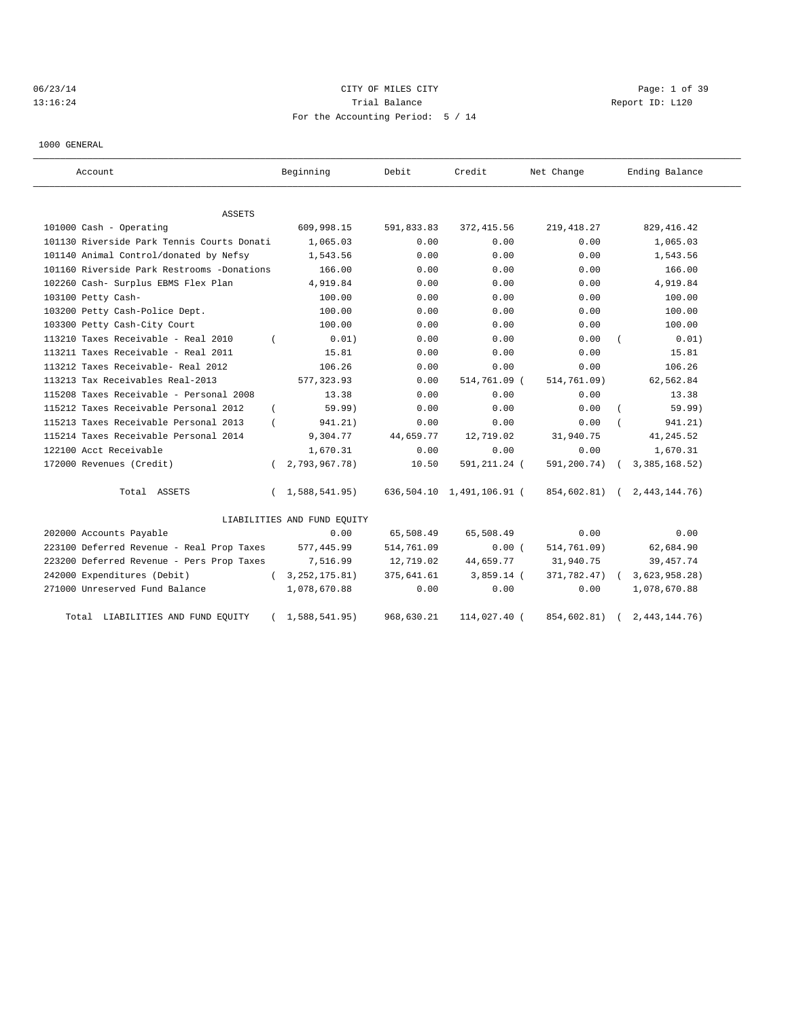# 06/23/14 Page: 1 of 39 13:16:24 **Trial Balance Trial Balance Report ID:** L120 For the Accounting Period: 5 / 14

1000 GENERAL

| Account                                    |            | Beginning                   | Debit      | Credit                    | Net Change    | Ending Balance   |
|--------------------------------------------|------------|-----------------------------|------------|---------------------------|---------------|------------------|
| <b>ASSETS</b>                              |            |                             |            |                           |               |                  |
| 101000 Cash - Operating                    |            | 609,998.15                  | 591,833.83 | 372, 415.56               | 219,418.27    | 829, 416.42      |
| 101130 Riverside Park Tennis Courts Donati |            | 1,065.03                    | 0.00       | 0.00                      | 0.00          | 1,065.03         |
| 101140 Animal Control/donated by Nefsy     |            | 1,543.56                    | 0.00       | 0.00                      | 0.00          | 1,543.56         |
| 101160 Riverside Park Restrooms -Donations |            | 166.00                      | 0.00       | 0.00                      | 0.00          | 166.00           |
| 102260 Cash- Surplus EBMS Flex Plan        |            | 4,919.84                    | 0.00       | 0.00                      | 0.00          | 4,919.84         |
| 103100 Petty Cash-                         |            | 100.00                      | 0.00       | 0.00                      | 0.00          | 100.00           |
| 103200 Petty Cash-Police Dept.             |            | 100.00                      | 0.00       | 0.00                      | 0.00          | 100.00           |
| 103300 Petty Cash-City Court               |            | 100.00                      | 0.00       | 0.00                      | 0.00          | 100.00           |
| 113210 Taxes Receivable - Real 2010        |            | 0.01)                       | 0.00       | 0.00                      | 0.00          | 0.01)            |
| 113211 Taxes Receivable - Real 2011        |            | 15.81                       | 0.00       | 0.00                      | 0.00          | 15.81            |
| 113212 Taxes Receivable- Real 2012         |            | 106.26                      | 0.00       | 0.00                      | 0.00          | 106.26           |
| 113213 Tax Receivables Real-2013           |            | 577, 323.93                 | 0.00       | 514,761.09 (              | 514,761.09)   | 62,562.84        |
| 115208 Taxes Receivable - Personal 2008    |            | 13.38                       | 0.00       | 0.00                      | 0.00          | 13.38            |
| 115212 Taxes Receivable Personal 2012      | $\left($   | 59.99)                      | 0.00       | 0.00                      | 0.00          | 59.99)           |
| 115213 Taxes Receivable Personal 2013      |            | 941.21)                     | 0.00       | 0.00                      | 0.00          | 941.21)          |
| 115214 Taxes Receivable Personal 2014      |            | 9,304.77                    | 44,659.77  | 12,719.02                 | 31,940.75     | 41, 245.52       |
| 122100 Acct Receivable                     |            | 1,670.31                    | 0.00       | 0.00                      | 0.00          | 1,670.31         |
| 172000 Revenues (Credit)                   |            | 2,793,967.78)               | 10.50      | 591,211.24 (              | 591,200.74)   | 3, 385, 168.52)  |
| Total ASSETS                               | $\sqrt{2}$ | 1,588,541.95)               |            | 636,504.10 1,491,106.91 ( | 854,602.81) ( | 2, 443, 144. 76) |
|                                            |            | LIABILITIES AND FUND EQUITY |            |                           |               |                  |
| 202000 Accounts Payable                    |            | 0.00                        | 65,508.49  | 65,508.49                 | 0.00          | 0.00             |
| 223100 Deferred Revenue - Real Prop Taxes  |            | 577,445.99                  | 514,761.09 | 0.00(                     | 514,761.09)   | 62,684.90        |
| 223200 Deferred Revenue - Pers Prop Taxes  |            | 7,516.99                    | 12,719.02  | 44,659.77                 | 31,940.75     | 39, 457. 74      |
| 242000 Expenditures (Debit)                | $\left($   | 3, 252, 175.81)             | 375,641.61 | $3,859.14$ (              | 371,782.47)   | 3,623,958.28)    |
| 271000 Unreserved Fund Balance             |            | 1,078,670.88                | 0.00       | 0.00                      | 0.00          | 1,078,670.88     |
| LIABILITIES AND FUND EQUITY<br>Total       |            | 1,588,541.95)               | 968,630.21 | 114,027.40 (              | 854,602.81)   | 2,443,144.76     |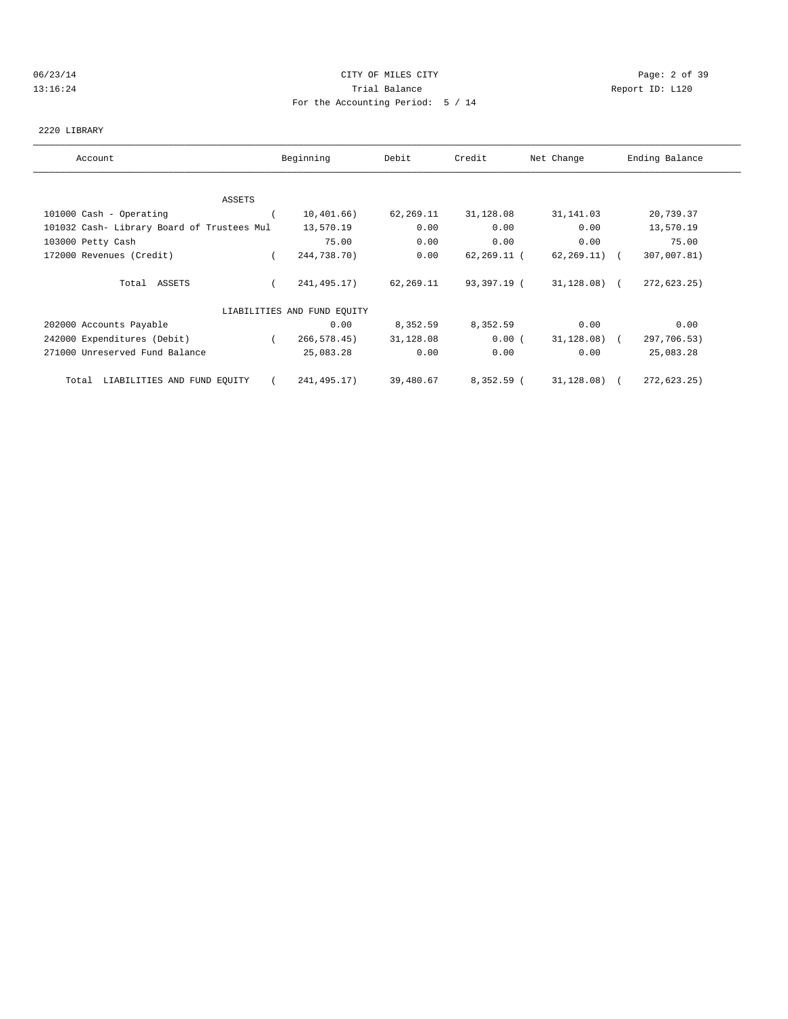### 06/23/14 CITY OF MILES CITY Page: 2 of 39 13:16:24 Trial Balance Report ID: L120 For the Accounting Period: 5 / 14

# 2220 LIBRARY

| Account                                    | Beginning                   | Debit     | Credit      | Net Change       | Ending Balance |
|--------------------------------------------|-----------------------------|-----------|-------------|------------------|----------------|
|                                            |                             |           |             |                  |                |
| ASSETS                                     |                             |           |             |                  |                |
| 101000 Cash - Operating                    | 10,401,66)                  | 62,269.11 | 31,128.08   | 31,141.03        | 20,739.37      |
| 101032 Cash- Library Board of Trustees Mul | 13,570.19                   | 0.00      | 0.00        | 0.00             | 13,570.19      |
| 103000 Petty Cash                          | 75.00                       | 0.00      | 0.00        | 0.00             | 75.00          |
| 172000 Revenues (Credit)                   | 244,738.70)                 | 0.00      | 62,269.11 ( | $62, 269, 11)$ ( | 307,007.81)    |
| Total ASSETS                               | 241,495.17)                 | 62,269.11 | 93,397.19 ( | 31,128.08) (     | 272,623.25)    |
|                                            | LIABILITIES AND FUND EQUITY |           |             |                  |                |
| 202000 Accounts Payable                    | 0.00                        | 8,352.59  | 8,352.59    | 0.00             | 0.00           |
| 242000 Expenditures (Debit)                | 266, 578.45                 | 31,128.08 | 0.00(       | $31,128.08$ (    | 297,706.53)    |
| 271000 Unreserved Fund Balance             | 25,083.28                   | 0.00      | 0.00        | 0.00             | 25,083.28      |
| LIABILITIES AND FUND EQUITY<br>Total       | 241,495.17)                 | 39,480.67 | 8,352.59 (  | 31,128.08) (     | 272,623.25)    |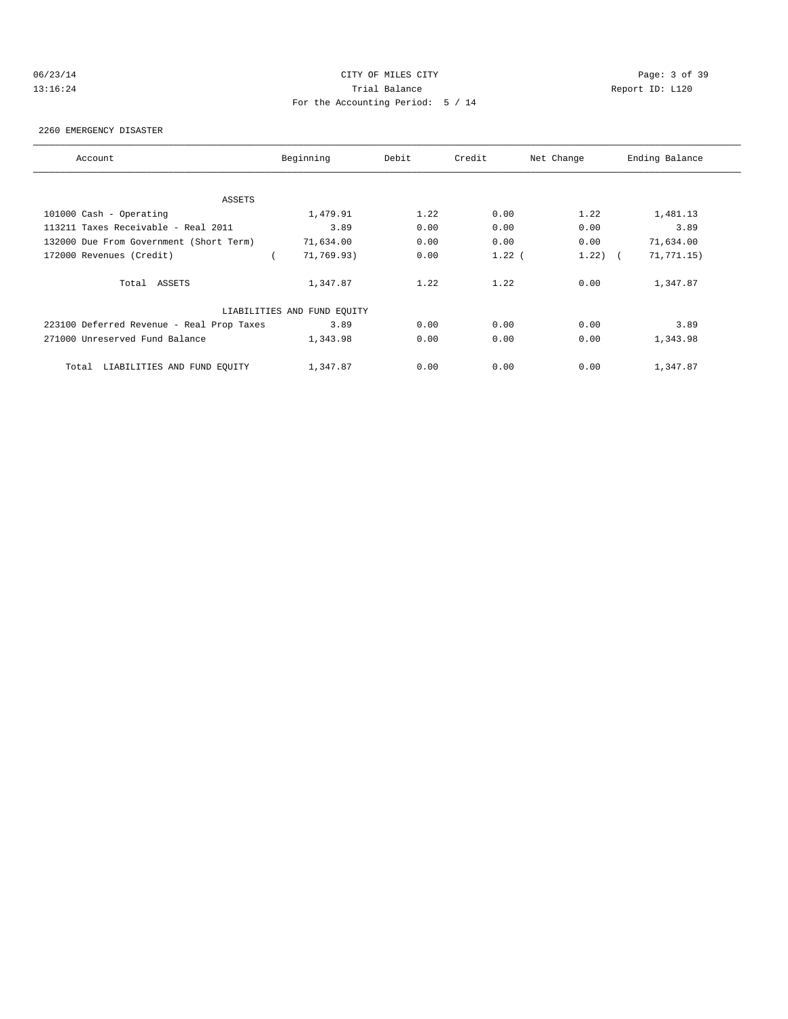# 06/23/14 CITY OF MILES CITY Page: 3 of 39 13:16:24 Trial Balance Report ID: L120 For the Accounting Period: 5 / 14

#### 2260 EMERGENCY DISASTER

| Account                                   | Beginning                   | Debit | Credit   | Net Change | Ending Balance |
|-------------------------------------------|-----------------------------|-------|----------|------------|----------------|
| ASSETS                                    |                             |       |          |            |                |
| 101000 Cash - Operating                   | 1,479.91                    | 1.22  | 0.00     | 1.22       | 1,481.13       |
| 113211 Taxes Receivable - Real 2011       | 3.89                        | 0.00  | 0.00     | 0.00       | 3.89           |
| 132000 Due From Government (Short Term)   | 71,634.00                   | 0.00  | 0.00     | 0.00       | 71,634.00      |
| 172000 Revenues (Credit)                  | 71,769.93)                  | 0.00  | $1.22$ ( | 1.22)      | 71, 771.15)    |
| Total ASSETS                              | 1,347.87                    | 1.22  | 1.22     | 0.00       | 1,347.87       |
|                                           | LIABILITIES AND FUND EQUITY |       |          |            |                |
| 223100 Deferred Revenue - Real Prop Taxes | 3.89                        | 0.00  | 0.00     | 0.00       | 3.89           |
| 271000 Unreserved Fund Balance            | 1,343.98                    | 0.00  | 0.00     | 0.00       | 1,343.98       |
| LIABILITIES AND FUND EQUITY<br>Total      | 1,347.87                    | 0.00  | 0.00     | 0.00       | 1,347.87       |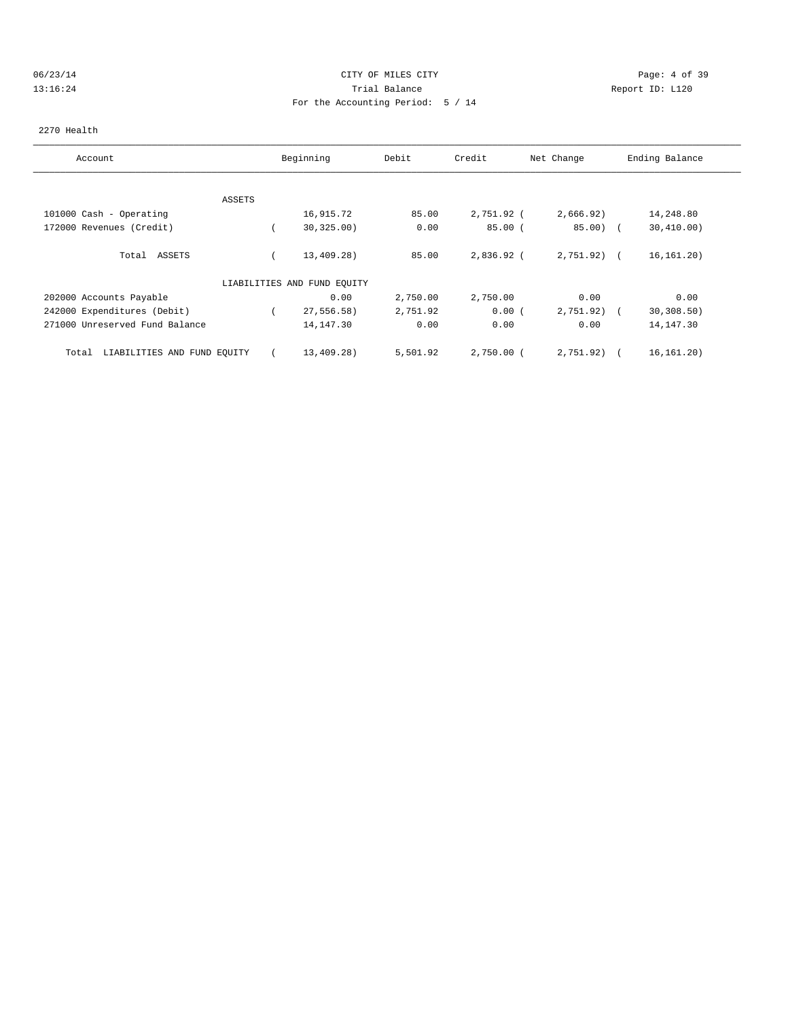### 06/23/14 CITY OF MILES CITY Page: 4 of 39 13:16:24 Trial Balance Report ID: L120 For the Accounting Period: 5 / 14

### 2270 Health

| Account                              |               | Beginning                   | Debit    | Credit       | Net Change   | Ending Balance |
|--------------------------------------|---------------|-----------------------------|----------|--------------|--------------|----------------|
|                                      |               |                             |          |              |              |                |
|                                      | <b>ASSETS</b> |                             |          |              |              |                |
| 101000 Cash - Operating              |               | 16,915.72                   | 85.00    | 2,751.92 (   | 2,666.92)    | 14,248.80      |
| 172000 Revenues (Credit)             |               | 30, 325.00)                 | 0.00     | 85.00(       | $85.00$ (    | 30, 410.00)    |
| Total ASSETS                         |               | 13,409.28)                  | 85.00    | 2,836.92 (   | $2,751.92$ ( | 16, 161, 20)   |
|                                      |               | LIABILITIES AND FUND EQUITY |          |              |              |                |
| 202000 Accounts Payable              |               | 0.00                        | 2,750.00 | 2,750.00     | 0.00         | 0.00           |
| 242000 Expenditures (Debit)          |               | 27,556.58)                  | 2,751.92 | 0.00(        | 2,751.92)    | 30, 308.50     |
| 271000 Unreserved Fund Balance       |               | 14,147.30                   | 0.00     | 0.00         | 0.00         | 14, 147.30     |
| LIABILITIES AND FUND EQUITY<br>Total |               | 13,409.28)                  | 5,501.92 | $2,750.00$ ( | 2,751.92)    | 16, 161. 20)   |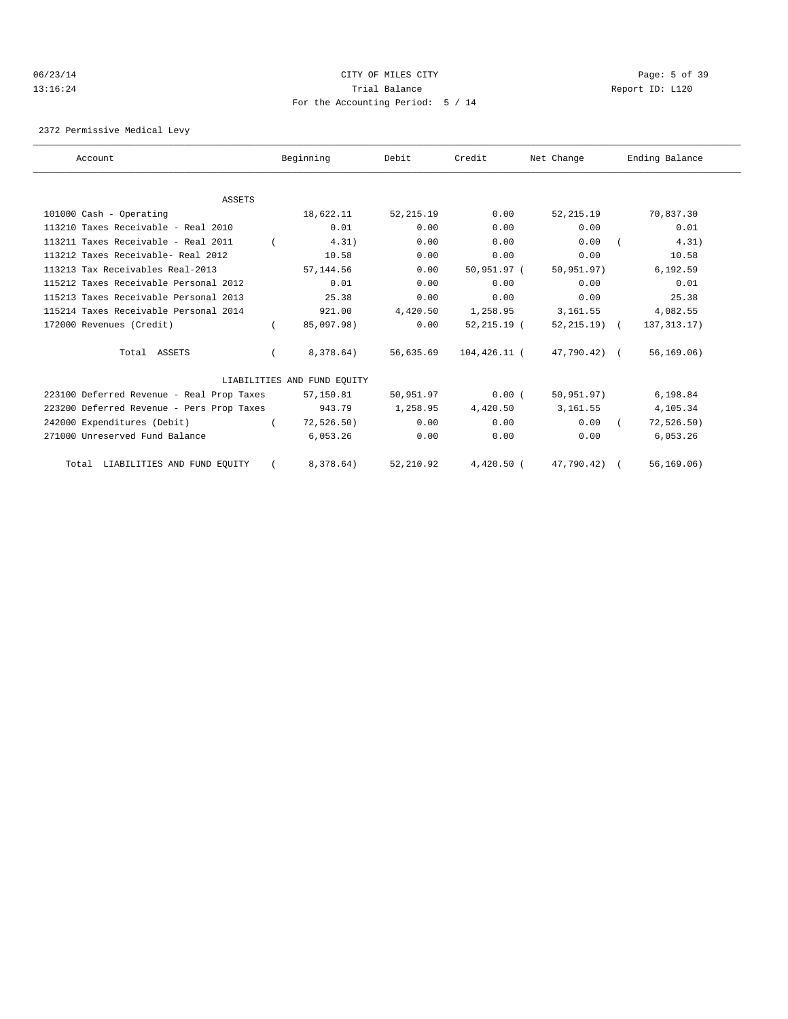### 06/23/14 CITY OF MILES CITY Page: 5 of 39 13:16:24 Trial Balance Report ID: L120 For the Accounting Period: 5 / 14

2372 Permissive Medical Levy

| Account                                   | Beginning                   | Debit      | Credit         | Net Change     | Ending Balance |  |
|-------------------------------------------|-----------------------------|------------|----------------|----------------|----------------|--|
|                                           |                             |            |                |                |                |  |
| <b>ASSETS</b>                             |                             |            |                |                |                |  |
| 101000 Cash - Operating                   | 18,622.11                   | 52, 215.19 | 0.00           | 52, 215.19     | 70,837.30      |  |
| 113210 Taxes Receivable - Real 2010       | 0.01                        | 0.00       | 0.00           | 0.00           | 0.01           |  |
| 113211 Taxes Receivable - Real 2011       | 4.31)                       | 0.00       | 0.00           | 0.00           | 4.31)          |  |
| 113212 Taxes Receivable- Real 2012        | 10.58                       | 0.00       | 0.00           | 0.00           | 10.58          |  |
| 113213 Tax Receivables Real-2013          | 57, 144.56                  | 0.00       | 50,951.97 (    | 50, 951.97)    | 6,192.59       |  |
| 115212 Taxes Receivable Personal 2012     | 0.01                        | 0.00       | 0.00           | 0.00           | 0.01           |  |
| 115213 Taxes Receivable Personal 2013     | 25.38                       | 0.00       | 0.00           | 0.00           | 25.38          |  |
| 115214 Taxes Receivable Personal 2014     | 921.00                      | 4,420.50   | 1,258.95       | 3,161.55       | 4,082.55       |  |
| 172000 Revenues (Credit)                  | 85,097.98)                  | 0.00       | $52, 215.19$ ( | $52, 215.19$ ( | 137, 313. 17)  |  |
| Total ASSETS                              | 8,378.64)                   | 56,635.69  | 104,426.11 (   | 47,790.42) (   | 56, 169.06)    |  |
|                                           | LIABILITIES AND FUND EOUITY |            |                |                |                |  |
| 223100 Deferred Revenue - Real Prop Taxes | 57,150.81                   | 50,951.97  | 0.00(          | 50, 951, 97)   | 6,198.84       |  |
| 223200 Deferred Revenue - Pers Prop Taxes | 943.79                      | 1,258.95   | 4,420.50       | 3,161.55       | 4,105.34       |  |
| 242000 Expenditures (Debit)               | 72, 526.50)                 | 0.00       | 0.00           | 0.00           | 72, 526.50)    |  |
| 271000 Unreserved Fund Balance            | 6,053.26                    | 0.00       | 0.00           | 0.00           | 6,053.26       |  |
| Total LIABILITIES AND FUND EQUITY         | 8,378.64)                   | 52,210.92  | $4,420.50$ (   | 47,790.42)     | 56, 169.06)    |  |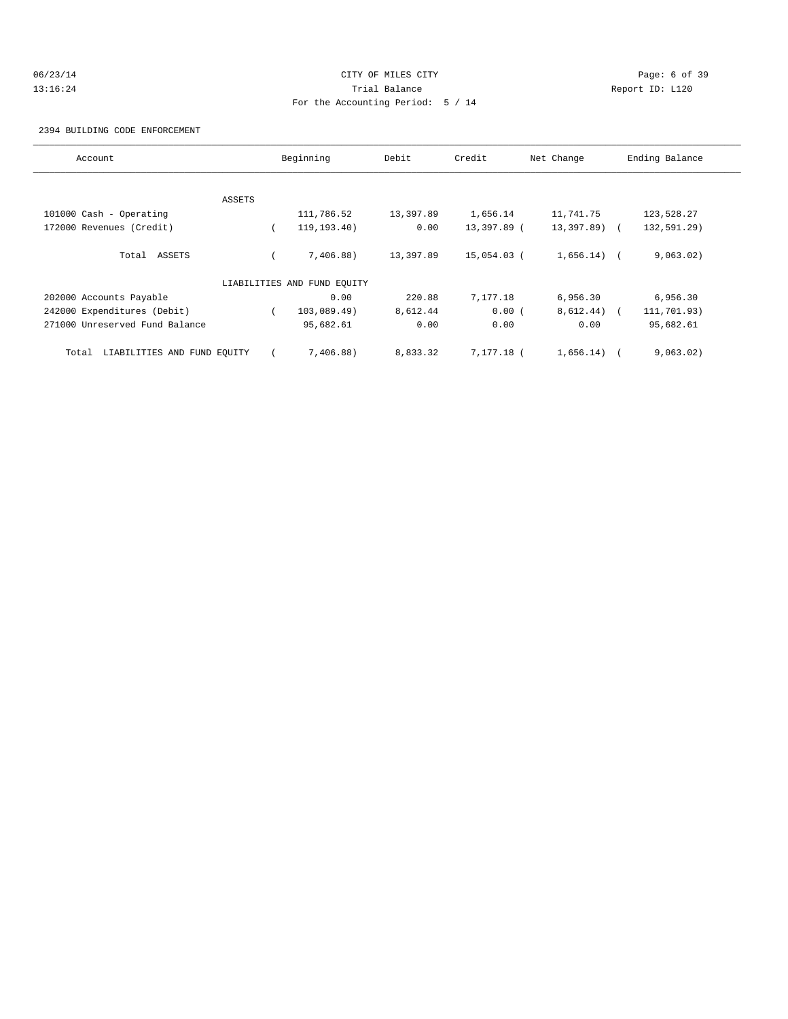# 06/23/14 CITY OF MILES CITY Page: 6 of 39 13:16:24 Trial Balance Report ID: L120 For the Accounting Period: 5 / 14

2394 BUILDING CODE ENFORCEMENT

| Account                              |        | Beginning                   | Debit     | Credit      | Net Change   | Ending Balance |
|--------------------------------------|--------|-----------------------------|-----------|-------------|--------------|----------------|
|                                      |        |                             |           |             |              |                |
|                                      | ASSETS |                             |           |             |              |                |
| 101000 Cash - Operating              |        | 111,786.52                  | 13,397.89 | 1,656.14    | 11,741.75    | 123,528.27     |
| 172000 Revenues (Credit)             |        | 119, 193, 40)               | 0.00      | 13,397.89 ( | 13,397.89) ( | 132,591.29)    |
| Total ASSETS                         |        | 7,406.88)                   | 13,397.89 | 15,054.03 ( | 1,656.14)    | 9,063.02)      |
|                                      |        | LIABILITIES AND FUND EOUITY |           |             |              |                |
| 202000 Accounts Payable              |        | 0.00                        | 220.88    | 7,177.18    | 6,956.30     | 6,956.30       |
| 242000 Expenditures (Debit)          |        | 103,089.49)                 | 8,612.44  | 0.00(       | 8,612.44)    | 111,701.93)    |
| 271000 Unreserved Fund Balance       |        | 95,682.61                   | 0.00      | 0.00        | 0.00         | 95,682.61      |
| LIABILITIES AND FUND EQUITY<br>Total |        | 7,406.88)                   | 8,833.32  | 7.177.18 (  | 1,656.14)    | 9,063.02)      |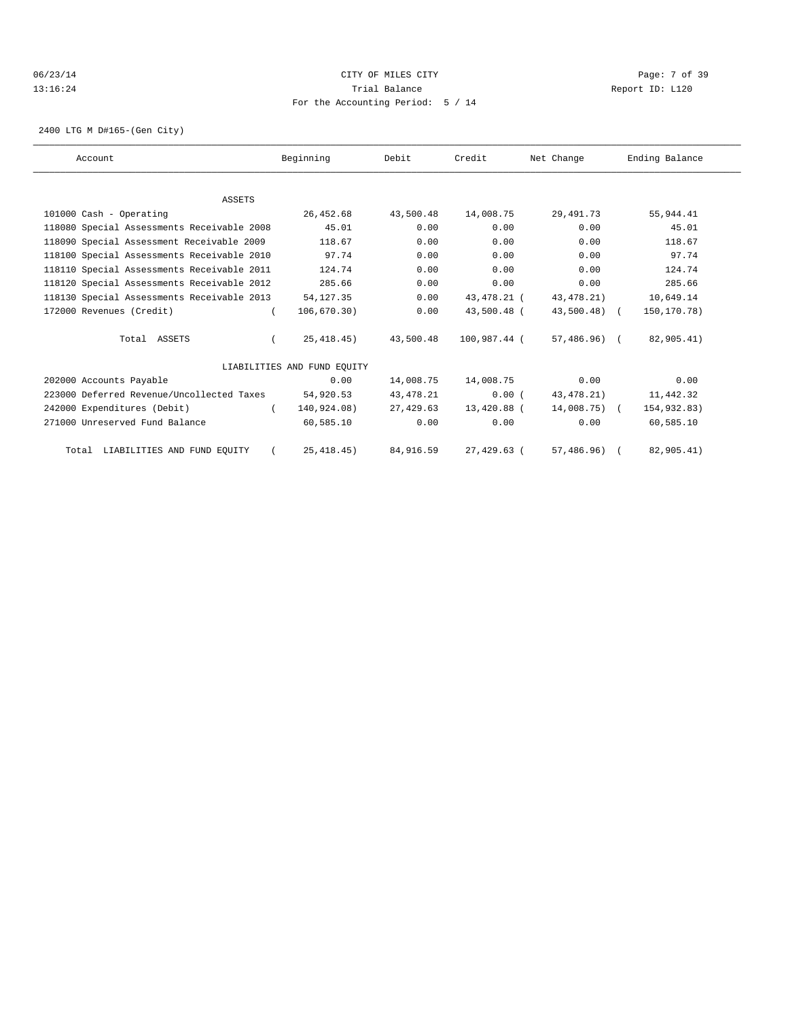### 06/23/14 CITY OF MILES CITY Page: 7 of 39 13:16:24 Trial Balance Report ID: L120 For the Accounting Period: 5 / 14

2400 LTG M D#165-(Gen City)

| Account                                    | Beginning                   | Debit       | Credit       | Net Change   | Ending Balance |  |
|--------------------------------------------|-----------------------------|-------------|--------------|--------------|----------------|--|
|                                            |                             |             |              |              |                |  |
| <b>ASSETS</b>                              |                             |             |              |              |                |  |
| 101000 Cash - Operating                    | 26,452.68                   | 43,500.48   | 14,008.75    | 29,491.73    | 55,944.41      |  |
| 118080 Special Assessments Receivable 2008 | 45.01                       | 0.00        | 0.00         | 0.00         | 45.01          |  |
| 118090 Special Assessment Receivable 2009  | 118.67                      | 0.00        | 0.00         | 0.00         | 118.67         |  |
| 118100 Special Assessments Receivable 2010 | 97.74                       | 0.00        | 0.00         | 0.00         | 97.74          |  |
| 118110 Special Assessments Receivable 2011 | 124.74                      | 0.00        | 0.00         | 0.00         | 124.74         |  |
| 118120 Special Assessments Receivable 2012 | 285.66                      | 0.00        | 0.00         | 0.00         | 285.66         |  |
| 118130 Special Assessments Receivable 2013 | 54, 127.35                  | 0.00        | 43,478.21 (  | 43, 478. 21) | 10,649.14      |  |
| 172000 Revenues (Credit)                   | 106,670.30)                 | 0.00        | 43,500.48 (  | 43,500.48) ( | 150,170.78)    |  |
| Total ASSETS                               | 25, 418.45)                 | 43,500.48   | 100,987.44 ( | 57,486.96) ( | 82,905.41)     |  |
|                                            | LIABILITIES AND FUND EOUITY |             |              |              |                |  |
| 202000 Accounts Payable                    | 0.00                        | 14,008.75   | 14,008.75    | 0.00         | 0.00           |  |
| 223000 Deferred Revenue/Uncollected Taxes  | 54,920.53                   | 43, 478. 21 | 0.00(        | 43, 478. 21) | 11,442.32      |  |
| 242000 Expenditures (Debit)                | 140,924.08)<br>$\sqrt{2}$   | 27,429.63   | 13,420.88 (  | 14,008.75) ( | 154,932.83)    |  |
| 271000 Unreserved Fund Balance             | 60,585.10                   | 0.00        | 0.00         | 0.00         | 60,585.10      |  |
| Total LIABILITIES AND FUND EQUITY          | 25, 418.45)                 | 84,916.59   | 27,429.63 (  | 57,486.96)   | 82,905.41)     |  |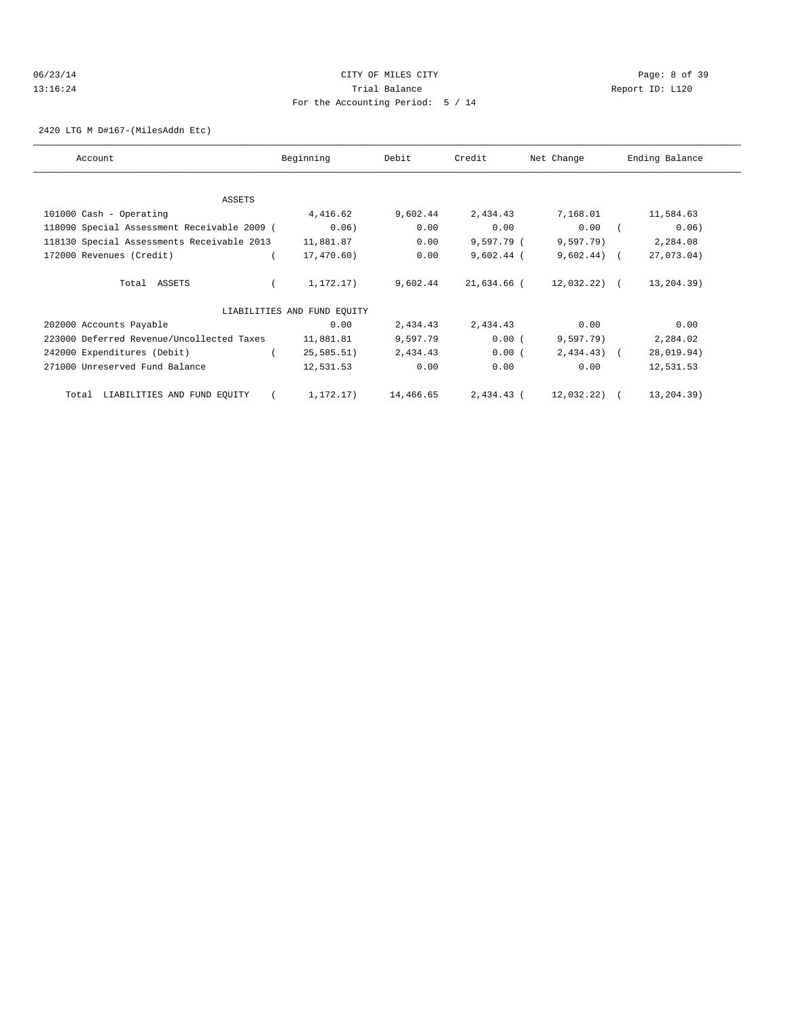### 06/23/14 CITY OF MILES CITY Page: 8 of 39 13:16:24 Trial Balance Report ID: L120 For the Accounting Period: 5 / 14

2420 LTG M D#167-(MilesAddn Etc)

| Account                                     | Beginning                   | Debit     | Credit       | Net Change     | Ending Balance |
|---------------------------------------------|-----------------------------|-----------|--------------|----------------|----------------|
|                                             |                             |           |              |                |                |
| ASSETS                                      |                             |           |              |                |                |
| 101000 Cash - Operating                     | 4,416.62                    | 9,602.44  | 2,434.43     | 7,168.01       | 11,584.63      |
| 118090 Special Assessment Receivable 2009 ( | 0.06)                       | 0.00      | 0.00         | 0.00           | 0.06)          |
| 118130 Special Assessments Receivable 2013  | 11,881.87                   | 0.00      | 9,597.79 (   | 9,597.79)      | 2,284.08       |
| 172000 Revenues (Credit)                    | 17,470.60)                  | 0.00      | $9,602.44$ ( | $9,602.44$ ) ( | 27,073.04)     |
| Total ASSETS                                | 1,172.17)                   | 9,602.44  | 21,634.66 (  | $12,032,22)$ ( | 13,204.39)     |
|                                             | LIABILITIES AND FUND EQUITY |           |              |                |                |
| 202000 Accounts Payable                     | 0.00                        | 2,434.43  | 2,434.43     | 0.00           | 0.00           |
| 223000 Deferred Revenue/Uncollected Taxes   | 11,881.81                   | 9,597.79  | 0.00(        | 9,597.79)      | 2,284.02       |
| 242000 Expenditures (Debit)                 | 25, 585.51)                 | 2,434.43  | 0.00(        | $2,434.43$ (   | 28,019.94)     |
| 271000 Unreserved Fund Balance              | 12,531.53                   | 0.00      | 0.00         | 0.00           | 12,531.53      |
| LIABILITIES AND FUND EQUITY<br>Total        | 1,172.17)                   | 14,466.65 | 2,434.43 (   | 12,032.22) (   | 13,204.39)     |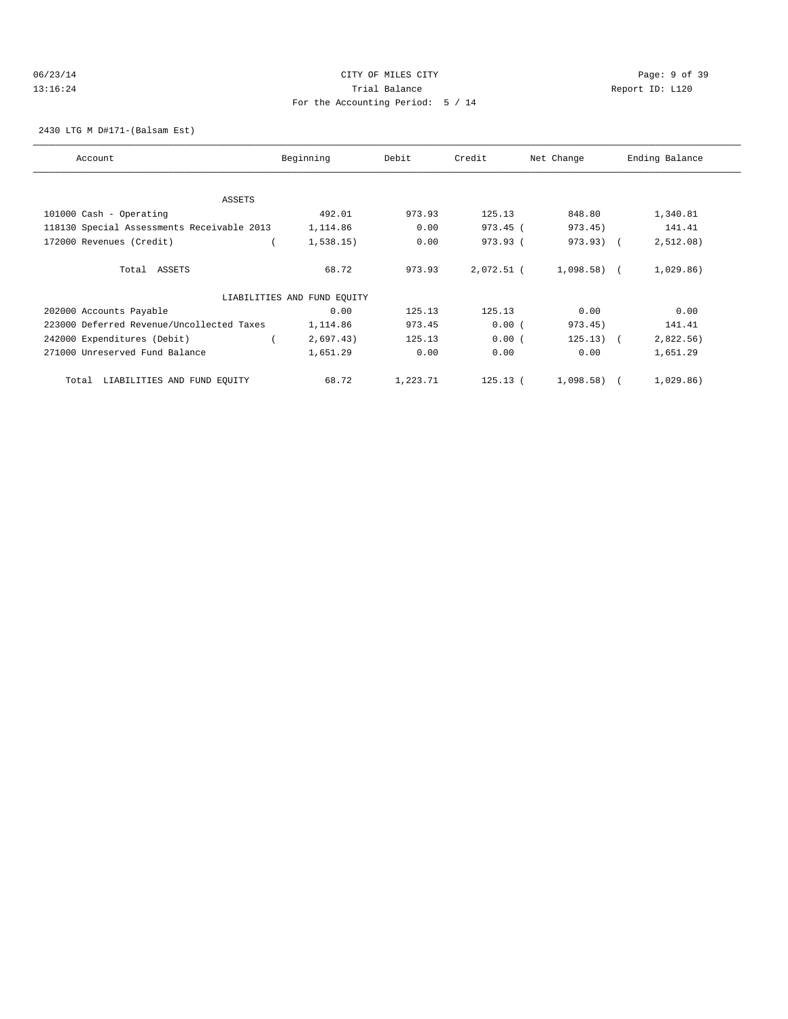### 06/23/14 CITY OF MILES CITY Page: 9 of 39 13:16:24 Trial Balance Report ID: L120 For the Accounting Period: 5 / 14

### 2430 LTG M D#171-(Balsam Est)

| Account                                    | Beginning                   | Debit    | Credit     | Net Change     | Ending Balance |
|--------------------------------------------|-----------------------------|----------|------------|----------------|----------------|
| <b>ASSETS</b>                              |                             |          |            |                |                |
| 101000 Cash - Operating                    | 492.01                      | 973.93   | 125.13     | 848.80         | 1,340.81       |
| 118130 Special Assessments Receivable 2013 | 1,114.86                    | 0.00     | 973.45 (   | 973.45)        | 141.41         |
| 172000 Revenues (Credit)                   | 1,538.15)                   | 0.00     | 973.93 (   | 973.93) (      | 2,512.08)      |
| Total ASSETS                               | 68.72                       | 973.93   | 2,072.51 ( | $1,098.58$ ) ( | 1,029.86)      |
|                                            | LIABILITIES AND FUND EQUITY |          |            |                |                |
| 202000 Accounts Payable                    | 0.00                        | 125.13   | 125.13     | 0.00           | 0.00           |
| 223000 Deferred Revenue/Uncollected Taxes  | 1,114.86                    | 973.45   | 0.00(      | 973.45)        | 141.41         |
| 242000 Expenditures (Debit)                | 2,697.43)                   | 125.13   | 0.00(      | $125.13)$ (    | 2,822.56)      |
| 271000 Unreserved Fund Balance             | 1,651.29                    | 0.00     | 0.00       | 0.00           | 1,651.29       |
| LIABILITIES AND FUND EQUITY<br>Total       | 68.72                       | 1,223.71 | 125.13(    | 1,098.58)      | 1,029.86)      |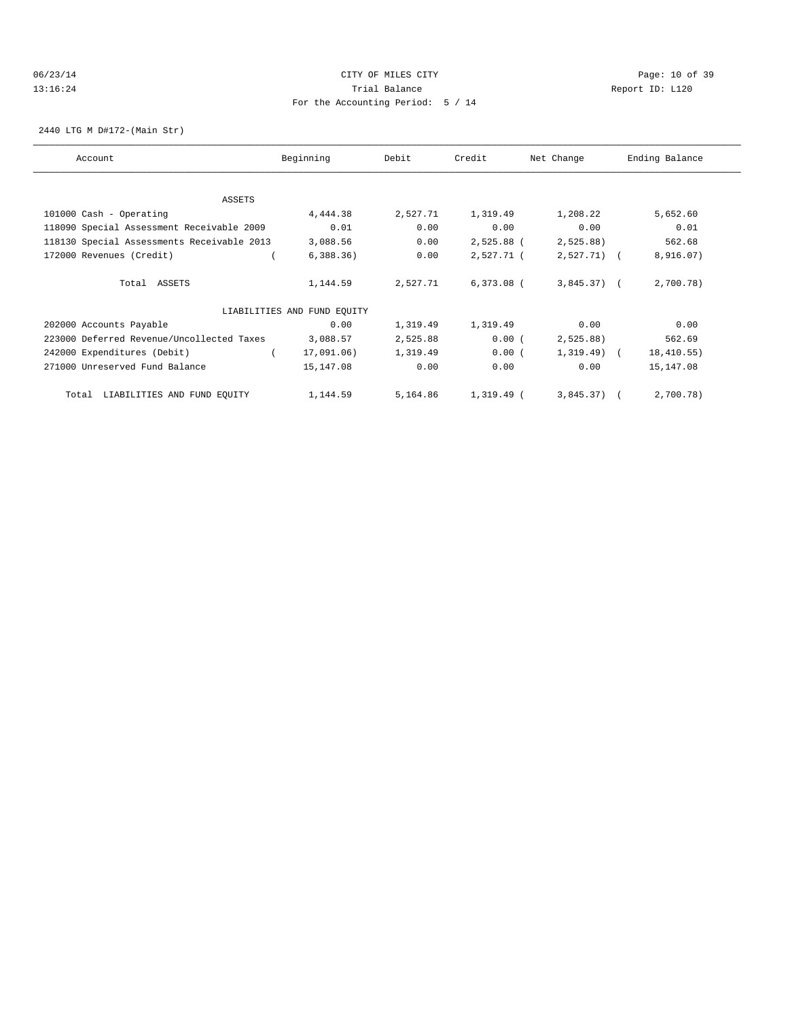### 06/23/14 Page: 10 of 39 13:16:24 Trial Balance Report ID: L120 For the Accounting Period: 5 / 14

2440 LTG M D#172-(Main Str)

| Account                                    | Beginning                   | Debit    | Credit       | Net Change    | Ending Balance |
|--------------------------------------------|-----------------------------|----------|--------------|---------------|----------------|
| ASSETS                                     |                             |          |              |               |                |
| 101000 Cash - Operating                    | 4,444.38                    | 2,527.71 | 1,319.49     | 1,208.22      | 5,652.60       |
| 118090 Special Assessment Receivable 2009  | 0.01                        | 0.00     | 0.00         | 0.00          | 0.01           |
| 118130 Special Assessments Receivable 2013 | 3,088.56                    | 0.00     | 2,525.88 (   | 2,525.88)     | 562.68         |
| 172000 Revenues (Credit)                   | 6,388.36)                   | 0.00     | 2,527.71 (   | $2,527.71$ (  | 8,916.07)      |
| Total ASSETS                               | 1,144.59                    | 2,527.71 | $6,373.08$ ( | $3,845.37$ (  | 2,700.78)      |
|                                            | LIABILITIES AND FUND EQUITY |          |              |               |                |
| 202000 Accounts Payable                    | 0.00                        | 1,319.49 | 1,319.49     | 0.00          | 0.00           |
| 223000 Deferred Revenue/Uncollected Taxes  | 3,088.57                    | 2,525.88 | 0.00(        | 2,525.88)     | 562.69         |
| 242000 Expenditures (Debit)                | 17,091.06)                  | 1,319.49 | 0.00(        | $1,319.49)$ ( | 18,410.55)     |
| 271000 Unreserved Fund Balance             | 15,147.08                   | 0.00     | 0.00         | 0.00          | 15,147.08      |
| LIABILITIES AND FUND EQUITY<br>Total       | 1,144.59                    | 5,164.86 | 1,319.49 (   | $3,845.37$ (  | 2,700.78)      |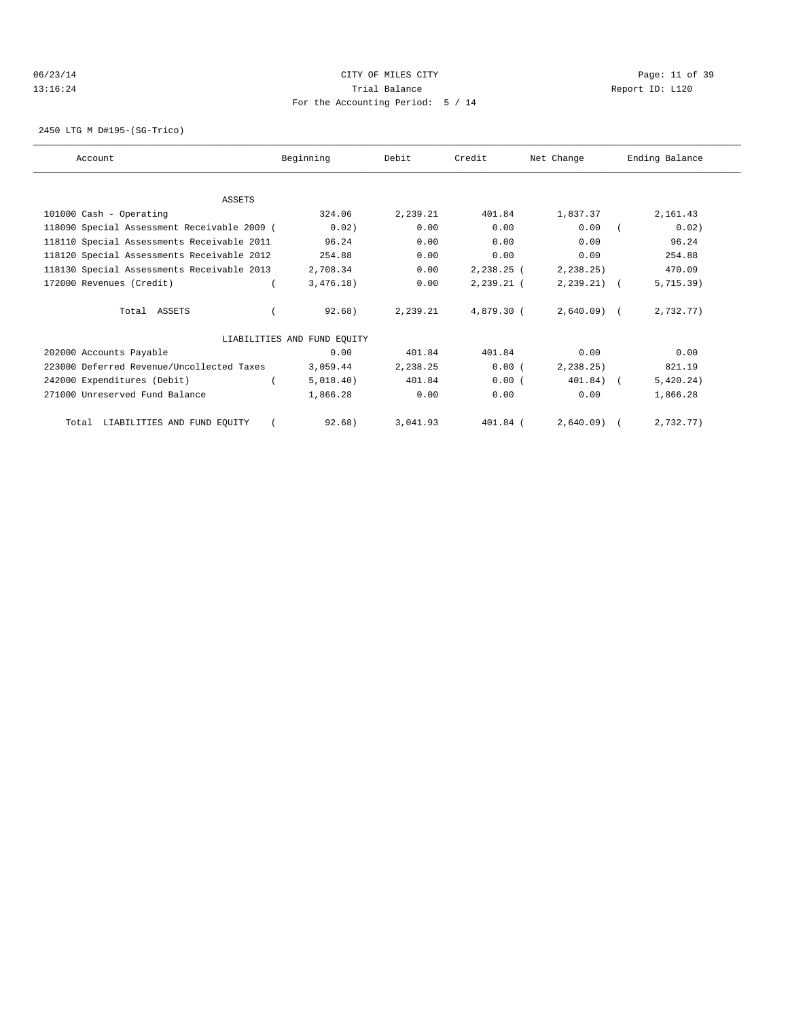### 06/23/14 Page: 11 of 39 13:16:24 Trial Balance Report ID: L120 For the Accounting Period: 5 / 14

2450 LTG M D#195-(SG-Trico)

| Account                                     | Beginning                   | Debit    | Credit       | Net Change   | Ending Balance          |
|---------------------------------------------|-----------------------------|----------|--------------|--------------|-------------------------|
|                                             |                             |          |              |              |                         |
| <b>ASSETS</b>                               |                             |          |              |              |                         |
| 101000 Cash - Operating                     | 324.06                      | 2,239.21 | 401.84       | 1,837.37     | 2,161.43                |
| 118090 Special Assessment Receivable 2009 ( | 0.02)                       | 0.00     | 0.00         | 0.00         | 0.02)                   |
| 118110 Special Assessments Receivable 2011  | 96.24                       | 0.00     | 0.00         | 0.00         | 96.24                   |
| 118120 Special Assessments Receivable 2012  | 254.88                      | 0.00     | 0.00         | 0.00         | 254.88                  |
| 118130 Special Assessments Receivable 2013  | 2,708.34                    | 0.00     | $2,238.25$ ( | 2, 238.25    | 470.09                  |
| 172000 Revenues (Credit)                    | 3,476.18)                   | 0.00     | 2,239.21 (   | $2,239.21$ ( | 5, 715.39)              |
| Total ASSETS                                | 92.68)                      | 2,239.21 | 4,879.30 (   | $2,640.09$ ( | 2,732.77)               |
|                                             | LIABILITIES AND FUND EQUITY |          |              |              |                         |
| 202000 Accounts Payable                     | 0.00                        | 401.84   | 401.84       | 0.00         | 0.00                    |
| 223000 Deferred Revenue/Uncollected Taxes   | 3,059.44                    | 2,238.25 | 0.00(        | 2, 238.25)   | 821.19                  |
| 242000 Expenditures (Debit)                 | 5,018.40)                   | 401.84   | 0.00(        | 401.84)      | 5,420.24)<br>$\sqrt{2}$ |
| 271000 Unreserved Fund Balance              | 1,866.28                    | 0.00     | 0.00         | 0.00         | 1,866.28                |
| Total LIABILITIES AND FUND EQUITY           | 92.68                       | 3,041.93 | $401.84$ (   | $2.640.09$ ( | 2.732.77                |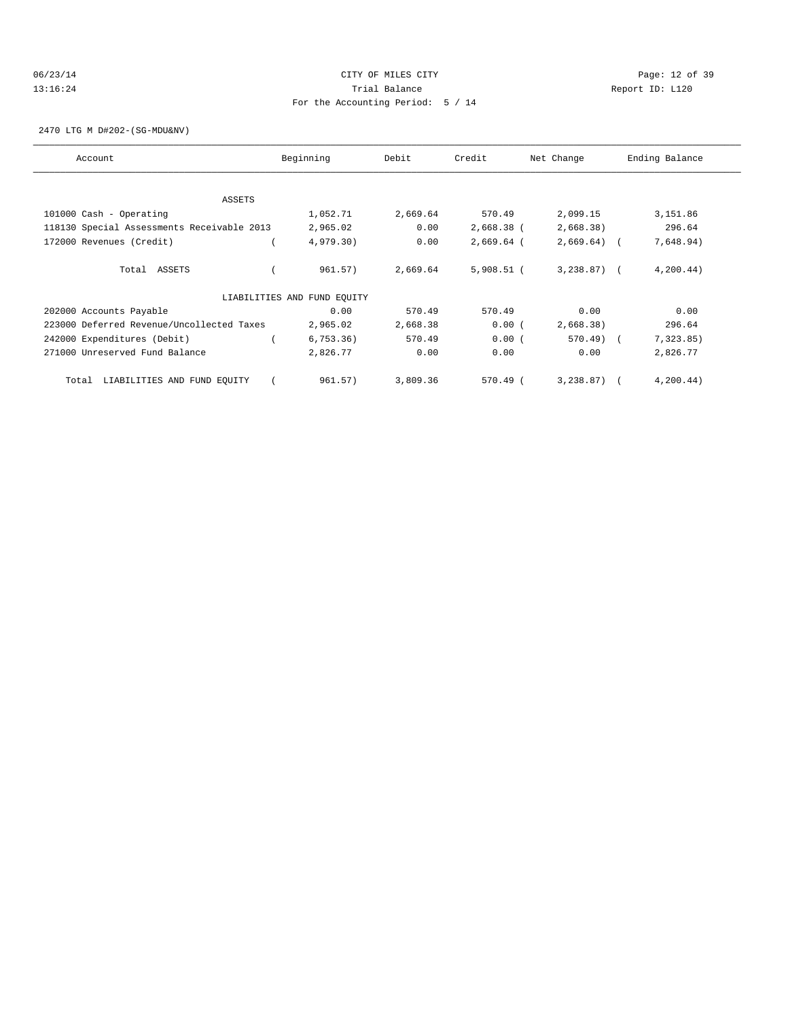### 06/23/14 Page: 12 of 39 13:16:24 Trial Balance Report ID: L120 For the Accounting Period: 5 / 14

2470 LTG M D#202-(SG-MDU&NV)

| Account                                    | Beginning                   | Debit    | Credit       | Net Change   | Ending Balance |
|--------------------------------------------|-----------------------------|----------|--------------|--------------|----------------|
|                                            |                             |          |              |              |                |
| <b>ASSETS</b>                              |                             |          |              |              |                |
| 101000 Cash - Operating                    | 1,052.71                    | 2,669.64 | 570.49       | 2,099.15     | 3,151.86       |
| 118130 Special Assessments Receivable 2013 | 2,965.02                    | 0.00     | 2,668.38 (   | 2,668.38)    | 296.64         |
| 172000 Revenues (Credit)                   | 4,979.30)                   | 0.00     | $2,669.64$ ( | $2,669.64$ ( | 7,648.94)      |
| Total ASSETS                               | 961.57)                     | 2,669.64 | $5,908.51$ ( | $3,238.87$ ( | 4, 200.44)     |
|                                            | LIABILITIES AND FUND EQUITY |          |              |              |                |
| 202000 Accounts Payable                    | 0.00                        | 570.49   | 570.49       | 0.00         | 0.00           |
| 223000 Deferred Revenue/Uncollected Taxes  | 2,965.02                    | 2,668.38 | 0.00(        | 2,668.38)    | 296.64         |
| 242000 Expenditures (Debit)                | 6, 753.36)                  | 570.49   | 0.00(        | 570.49) (    | 7,323.85)      |
| 271000 Unreserved Fund Balance             | 2,826.77                    | 0.00     | 0.00         | 0.00         | 2,826.77       |
| LIABILITIES AND FUND EQUITY<br>Total       | 961.57)                     | 3,809.36 | 570.49 (     | $3,238.87$ ( | 4, 200.44)     |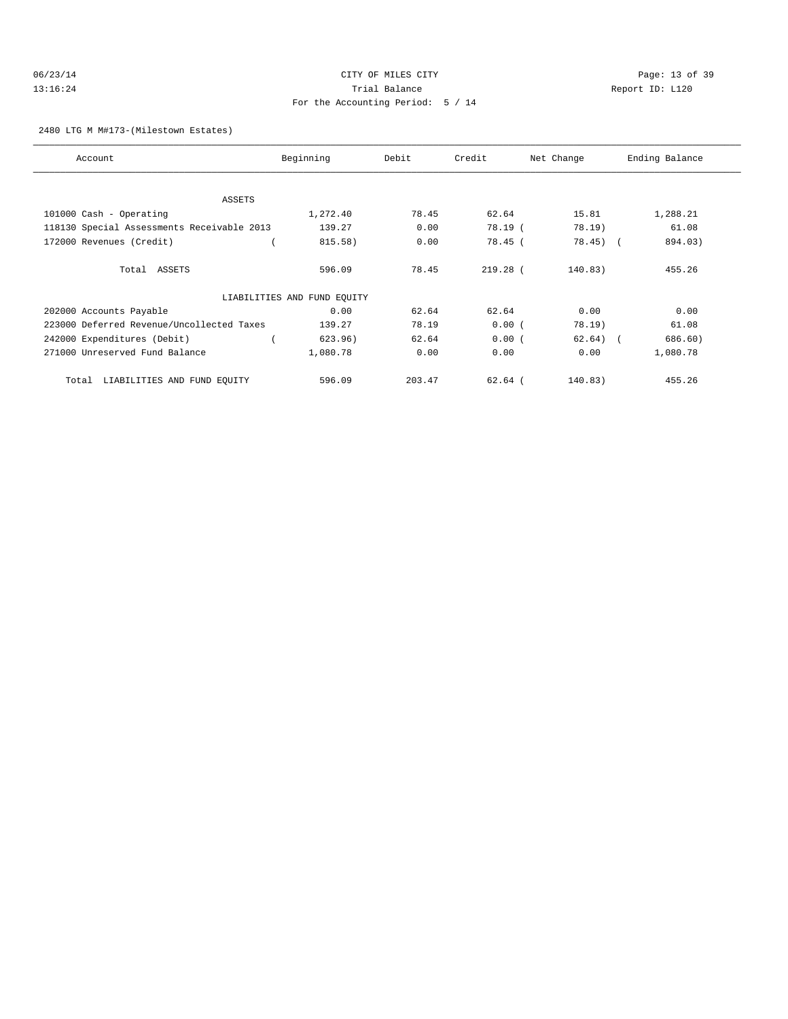# 06/23/14 Page: 13 of 39 13:16:24 Trial Balance Report ID: L120 For the Accounting Period: 5 / 14

### 2480 LTG M M#173-(Milestown Estates)

| Account                                    | Beginning                   | Debit  | Credit     | Net Change | Ending Balance |
|--------------------------------------------|-----------------------------|--------|------------|------------|----------------|
|                                            |                             |        |            |            |                |
| <b>ASSETS</b>                              |                             |        |            |            |                |
| 101000 Cash - Operating                    | 1,272.40                    | 78.45  | 62.64      | 15.81      | 1,288.21       |
| 118130 Special Assessments Receivable 2013 | 139.27                      | 0.00   | 78.19 (    | 78.19)     | 61.08          |
| 172000 Revenues (Credit)                   | 815.58)                     | 0.00   | 78.45 (    | $78.45$ (  | 894.03)        |
| Total ASSETS                               | 596.09                      | 78.45  | $219.28$ ( | 140.83)    | 455.26         |
|                                            | LIABILITIES AND FUND EQUITY |        |            |            |                |
| 202000 Accounts Payable                    | 0.00                        | 62.64  | 62.64      | 0.00       | 0.00           |
| 223000 Deferred Revenue/Uncollected Taxes  | 139.27                      | 78.19  | 0.00(      | 78.19)     | 61.08          |
| 242000 Expenditures (Debit)                | 623.96)                     | 62.64  | 0.00(      | $62.64)$ ( | 686.60)        |
| 271000 Unreserved Fund Balance             | 1,080.78                    | 0.00   | 0.00       | 0.00       | 1,080.78       |
| LIABILITIES AND FUND EQUITY<br>Total       | 596.09                      | 203.47 | $62.64$ (  | 140.83)    | 455.26         |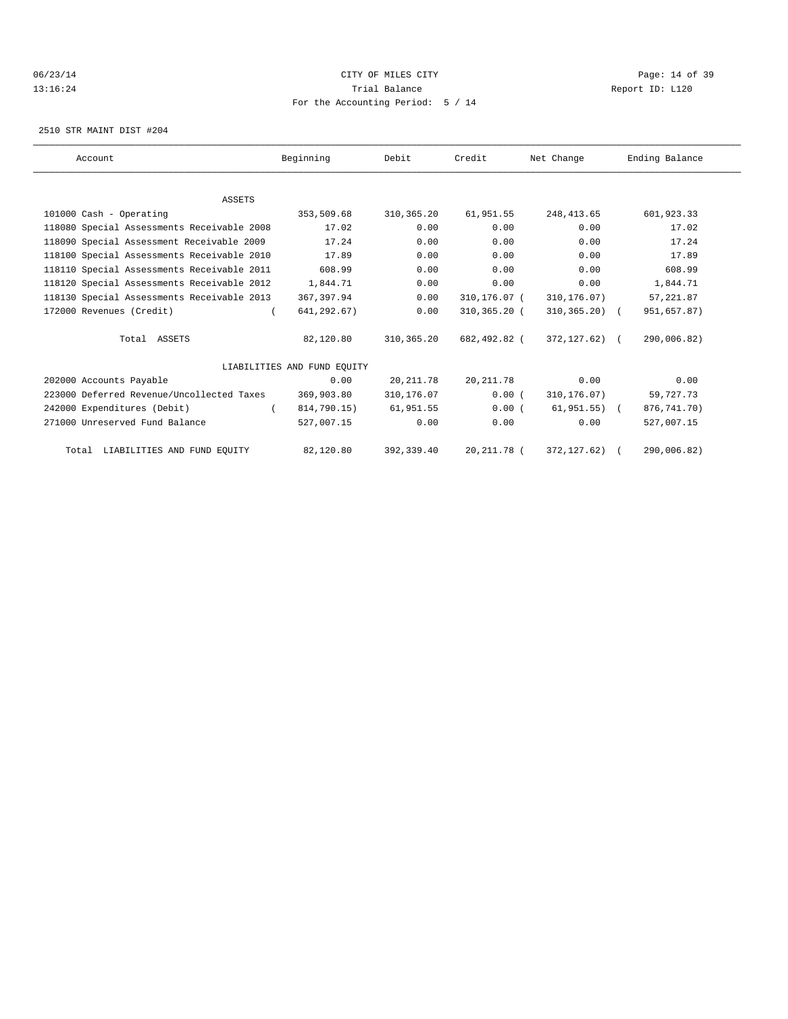### 06/23/14 Page: 14 of 39 13:16:24 Trial Balance Report ID: L120 For the Accounting Period: 5 / 14

2510 STR MAINT DIST #204

| Account                                    | Beginning                   | Debit       | Credit       | Net Change       | Ending Balance |  |
|--------------------------------------------|-----------------------------|-------------|--------------|------------------|----------------|--|
|                                            |                             |             |              |                  |                |  |
| <b>ASSETS</b>                              |                             |             |              |                  |                |  |
| 101000 Cash - Operating                    | 353,509.68                  | 310, 365.20 | 61,951.55    | 248, 413.65      | 601,923.33     |  |
| 118080 Special Assessments Receivable 2008 | 17.02                       | 0.00        | 0.00         | 0.00             | 17.02          |  |
| 118090 Special Assessment Receivable 2009  | 17.24                       | 0.00        | 0.00         | 0.00             | 17.24          |  |
| 118100 Special Assessments Receivable 2010 | 17.89                       | 0.00        | 0.00         | 0.00             | 17.89          |  |
| 118110 Special Assessments Receivable 2011 | 608.99                      | 0.00        | 0.00         | 0.00             | 608.99         |  |
| 118120 Special Assessments Receivable 2012 | 1,844.71                    | 0.00        | 0.00         | 0.00             | 1,844.71       |  |
| 118130 Special Assessments Receivable 2013 | 367,397.94                  | 0.00        | 310,176.07 ( | 310,176.07)      | 57, 221.87     |  |
| 172000 Revenues (Credit)                   | 641,292.67)                 | 0.00        | 310,365.20 ( | $310, 365, 20$ ( | 951,657.87)    |  |
| Total ASSETS                               | 82,120.80                   | 310, 365.20 | 682,492.82 ( | 372,127.62) (    | 290,006.82)    |  |
|                                            | LIABILITIES AND FUND EOUITY |             |              |                  |                |  |
| 202000 Accounts Payable                    | 0.00                        | 20, 211.78  | 20, 211.78   | 0.00             | 0.00           |  |
| 223000 Deferred Revenue/Uncollected Taxes  | 369,903.80                  | 310,176.07  | 0.00(        | 310, 176.07)     | 59,727.73      |  |
| 242000 Expenditures (Debit)                | 814,790.15)                 | 61,951.55   | 0.00(        | $61,951.55$ (    | 876, 741. 70)  |  |
| 271000 Unreserved Fund Balance             | 527,007.15                  | 0.00        | 0.00         | 0.00             | 527,007.15     |  |
| Total LIABILITIES AND FUND EQUITY          | 82,120.80                   | 392,339.40  | 20, 211.78 ( | 372, 127.62)     | 290,006.82)    |  |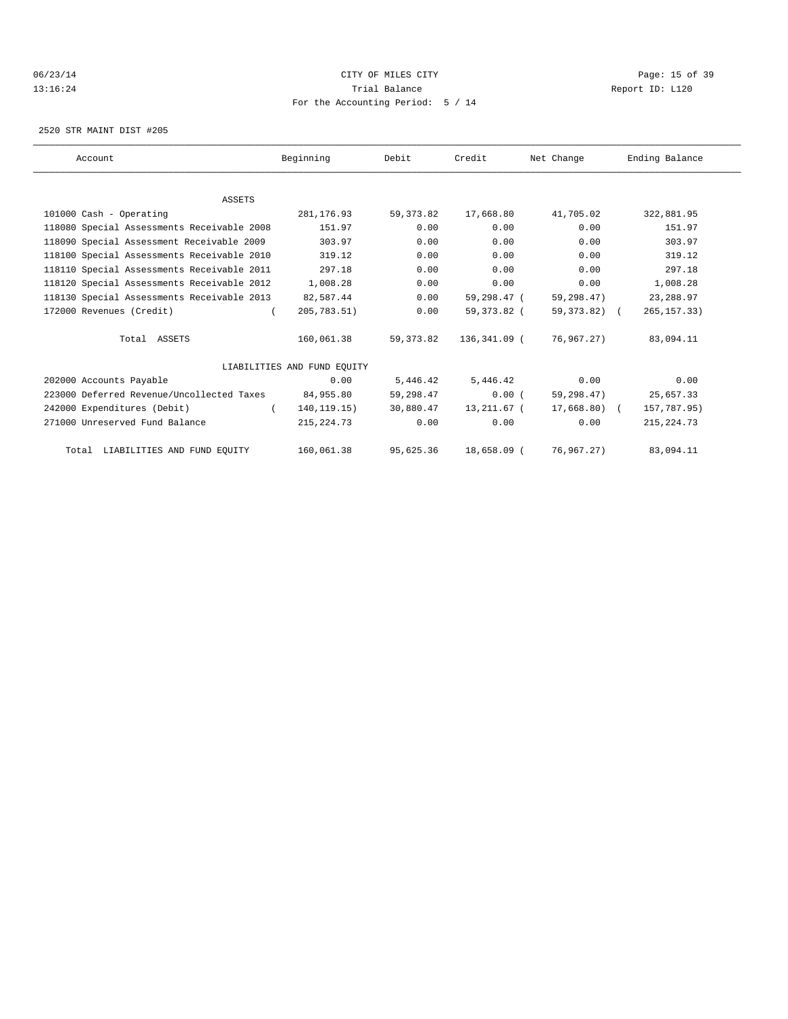### 06/23/14 Page: 15 of 39 13:16:24 Trial Balance Report ID: L120 For the Accounting Period: 5 / 14

2520 STR MAINT DIST #205

| Account                                    | Beginning                   | Debit       | Credit       | Net Change   | Ending Balance |
|--------------------------------------------|-----------------------------|-------------|--------------|--------------|----------------|
|                                            |                             |             |              |              |                |
| <b>ASSETS</b>                              |                             |             |              |              |                |
| 101000 Cash - Operating                    | 281,176.93                  | 59, 373.82  | 17,668.80    | 41,705.02    | 322,881.95     |
| 118080 Special Assessments Receivable 2008 | 151.97                      | 0.00        | 0.00         | 0.00         | 151.97         |
| 118090 Special Assessment Receivable 2009  | 303.97                      | 0.00        | 0.00         | 0.00         | 303.97         |
| 118100 Special Assessments Receivable 2010 | 319.12                      | 0.00        | 0.00         | 0.00         | 319.12         |
| 118110 Special Assessments Receivable 2011 | 297.18                      | 0.00        | 0.00         | 0.00         | 297.18         |
| 118120 Special Assessments Receivable 2012 | 1,008.28                    | 0.00        | 0.00         | 0.00         | 1,008.28       |
| 118130 Special Assessments Receivable 2013 | 82,587.44                   | 0.00        | 59,298.47 (  | 59,298.47)   | 23, 288.97     |
| 172000 Revenues (Credit)                   | 205,783.51)<br>$\sqrt{2}$   | 0.00        | 59,373.82 (  | 59,373.82) ( | 265, 157.33)   |
| Total ASSETS                               | 160,061.38                  | 59, 373, 82 | 136,341.09 ( | 76,967.27)   | 83,094.11      |
|                                            | LIABILITIES AND FUND EOUITY |             |              |              |                |
| 202000 Accounts Payable                    | 0.00                        | 5,446.42    | 5,446.42     | 0.00         | 0.00           |
| 223000 Deferred Revenue/Uncollected Taxes  | 84,955.80                   | 59,298.47   | $0.00$ (     | 59,298.47)   | 25,657.33      |
| 242000 Expenditures (Debit)                | 140, 119. 15)<br>$\left($   | 30,880.47   | 13,211.67 (  | 17,668.80) ( | 157,787.95)    |
| 271000 Unreserved Fund Balance             | 215, 224. 73                | 0.00        | 0.00         | 0.00         | 215, 224.73    |
| Total LIABILITIES AND FUND EOUITY          | 160,061.38                  | 95,625.36   | 18,658.09 (  | 76,967,27)   | 83,094.11      |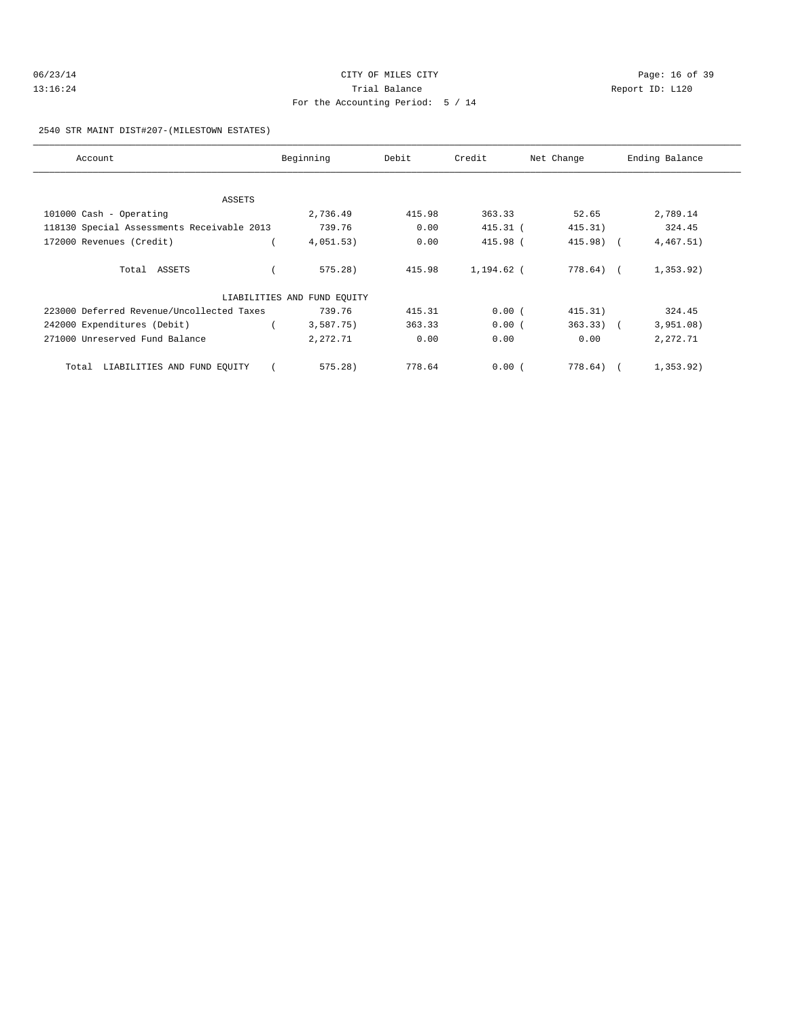| 06/23/14 | CITY OF MILES CITY                | Page: 16 of 39  |
|----------|-----------------------------------|-----------------|
| 13:16:24 | Trial Balance                     | Report ID: L120 |
|          | For the Accounting Period: 5 / 14 |                 |

2540 STR MAINT DIST#207-(MILESTOWN ESTATES)

| Account                                    | Beginning                   | Debit  | Credit       | Net Change  | Ending Balance |
|--------------------------------------------|-----------------------------|--------|--------------|-------------|----------------|
|                                            |                             |        |              |             |                |
| ASSETS                                     |                             |        |              |             |                |
| 101000 Cash - Operating                    | 2,736.49                    | 415.98 | 363.33       | 52.65       | 2,789.14       |
| 118130 Special Assessments Receivable 2013 | 739.76                      | 0.00   | $415.31$ (   | 415.31)     | 324.45         |
| 172000 Revenues (Credit)                   | 4,051.53)                   | 0.00   | 415.98 (     | 415.98) (   | 4,467.51)      |
| Total ASSETS                               | $575.28$ )                  | 415.98 | $1.194.62$ ( | 778.64) (   | 1,353.92)      |
|                                            | LIABILITIES AND FUND EQUITY |        |              |             |                |
| 223000 Deferred Revenue/Uncollected Taxes  | 739.76                      | 415.31 | 0.00(        | 415.31)     | 324.45         |
| 242000 Expenditures (Debit)                | 3,587.75)                   | 363.33 | 0.00(        | $363.33)$ ( | 3,951.08)      |
| 271000 Unreserved Fund Balance             | 2,272.71                    | 0.00   | 0.00         | 0.00        | 2,272.71       |
| Total LIABILITIES AND FUND EQUITY          | $575.28$ )                  | 778.64 | 0.00(        | 778.64)     | 1, 353.92)     |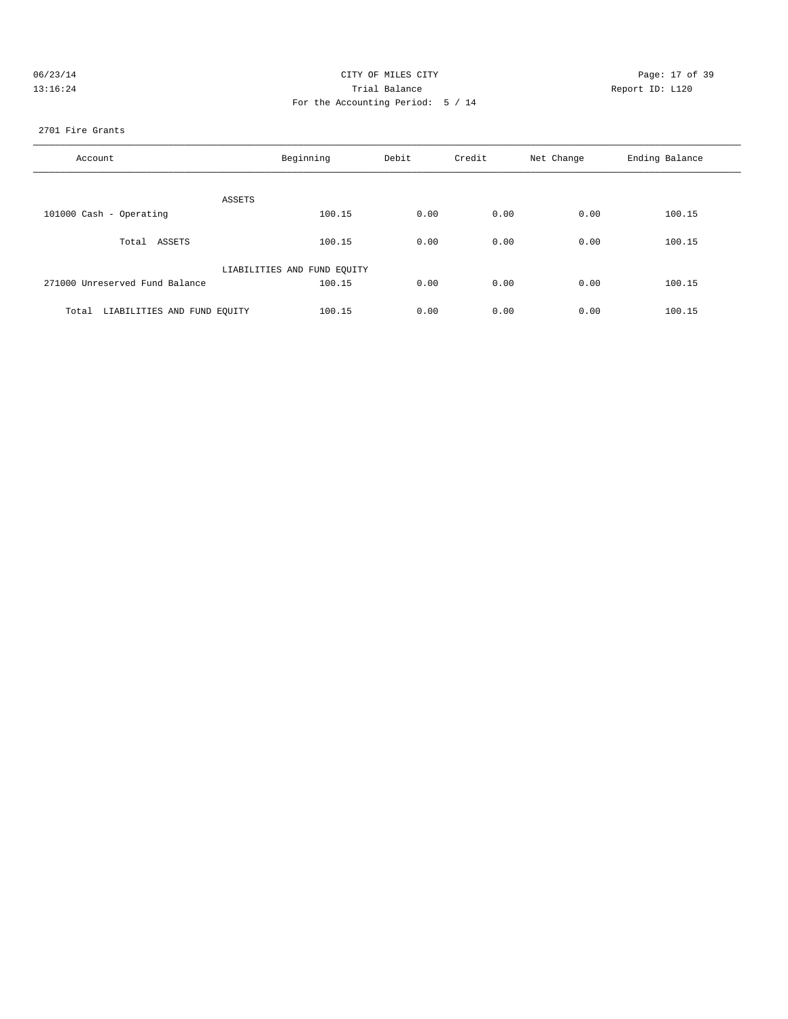| 06/23/14 | CITY OF MILES CITY                | Page: 17 of 39  |
|----------|-----------------------------------|-----------------|
| 13:16:24 | Trial Balance                     | Report ID: L120 |
|          | For the Accounting Period: 5 / 14 |                 |
|          |                                   |                 |

#### 2701 Fire Grants

| Account                           | Beginning                   | Debit | Credit | Net Change | Ending Balance |
|-----------------------------------|-----------------------------|-------|--------|------------|----------------|
| ASSETS                            |                             |       |        |            |                |
| 101000 Cash - Operating           | 100.15                      | 0.00  | 0.00   | 0.00       | 100.15         |
| Total ASSETS                      | 100.15                      | 0.00  | 0.00   | 0.00       | 100.15         |
|                                   | LIABILITIES AND FUND EQUITY |       |        |            |                |
| 271000 Unreserved Fund Balance    | 100.15                      | 0.00  | 0.00   | 0.00       | 100.15         |
| Total LIABILITIES AND FUND EQUITY | 100.15                      | 0.00  | 0.00   | 0.00       | 100.15         |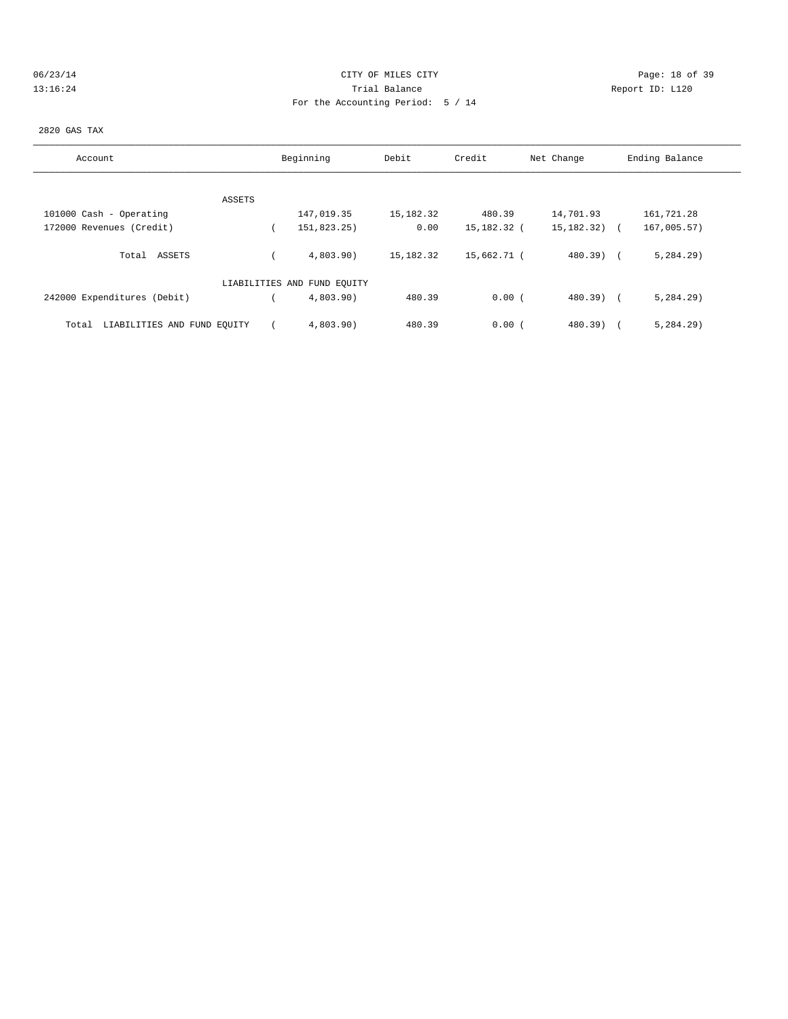### 06/23/14 Page: 18 of 39 13:16:24 Trial Balance Report ID: L120 For the Accounting Period: 5 / 14

#### 2820 GAS TAX

| Account                              | Beginning                   | Debit     | Credit      | Net Change   | Ending Balance |
|--------------------------------------|-----------------------------|-----------|-------------|--------------|----------------|
|                                      |                             |           |             |              |                |
| ASSETS                               |                             |           |             |              |                |
| 101000 Cash - Operating              | 147,019.35                  | 15,182.32 | 480.39      | 14,701.93    | 161,721.28     |
| 172000 Revenues (Credit)             | 151,823.25)                 | 0.00      | 15,182.32 ( | 15,182.32)   | 167,005.57)    |
| Total ASSETS                         | 4.803.90                    | 15,182.32 | 15,662.71 ( | $480.39$ $($ | 5, 284.29      |
|                                      | LIABILITIES AND FUND EQUITY |           |             |              |                |
| 242000 Expenditures (Debit)          | 4,803.90                    | 480.39    | 0.00(       | $480.39$ $($ | 5, 284.29      |
| LIABILITIES AND FUND EQUITY<br>Total | 4,803.90                    | 480.39    | 0.00(       | $480.39$ )   | 5, 284.29      |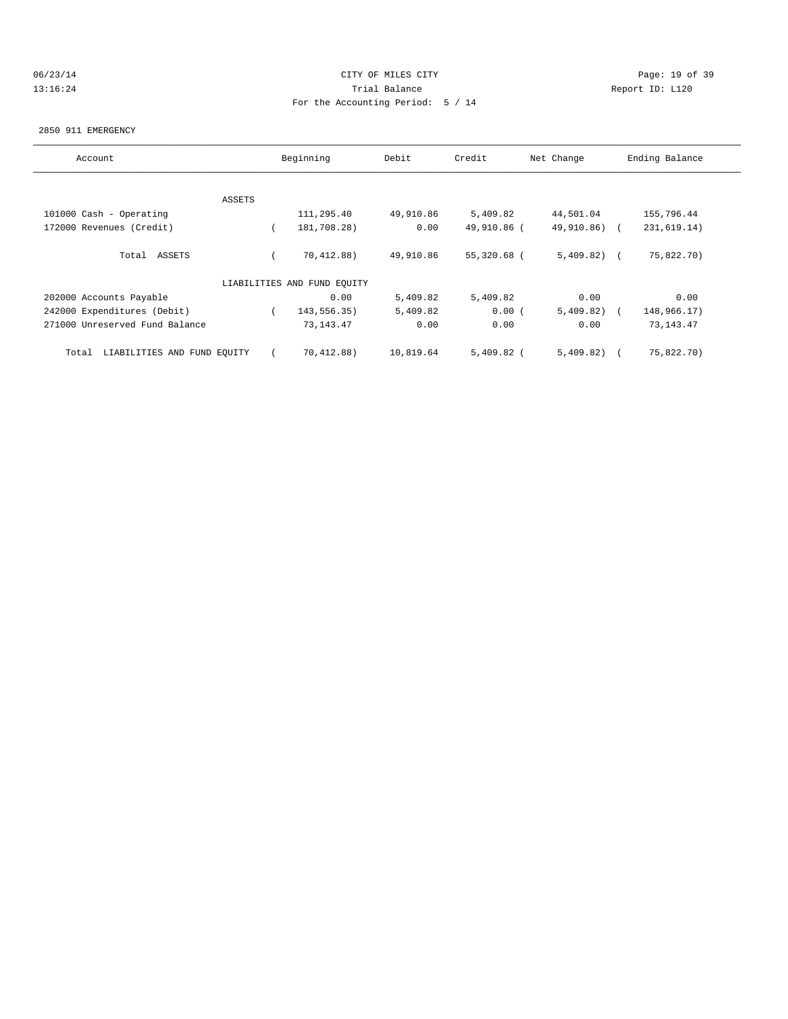### 06/23/14 Page: 19 of 39 13:16:24 Trial Balance Report ID: L120 For the Accounting Period: 5 / 14

#### 2850 911 EMERGENCY

| Account                              | Beginning |                             | Debit     | Credit       | Ending Balance |             |
|--------------------------------------|-----------|-----------------------------|-----------|--------------|----------------|-------------|
|                                      |           |                             |           |              |                |             |
|                                      | ASSETS    |                             |           |              |                |             |
| 101000 Cash - Operating              |           | 111,295.40                  | 49,910.86 | 5,409.82     | 44,501.04      | 155,796.44  |
| 172000 Revenues (Credit)             |           | 181,708.28)                 | 0.00      | 49,910.86 (  | 49,910.86) (   | 231,619.14) |
| Total ASSETS                         |           | 70, 412, 88)                | 49,910.86 | 55,320.68 (  | 5,409.82)      | 75,822.70)  |
|                                      |           | LIABILITIES AND FUND EQUITY |           |              |                |             |
| 202000 Accounts Payable              |           | 0.00                        | 5,409.82  | 5,409.82     | 0.00           | 0.00        |
| 242000 Expenditures (Debit)          |           | 143,556.35)                 | 5,409.82  | 0.00(        | 5,409.82)      | 148,966.17) |
| 271000 Unreserved Fund Balance       |           | 73, 143. 47                 | 0.00      | 0.00         | 0.00           | 73, 143. 47 |
| LIABILITIES AND FUND EQUITY<br>Total |           | 70,412.88)                  | 10,819.64 | $5,409.82$ ( | 5,409.82)      | 75,822.70)  |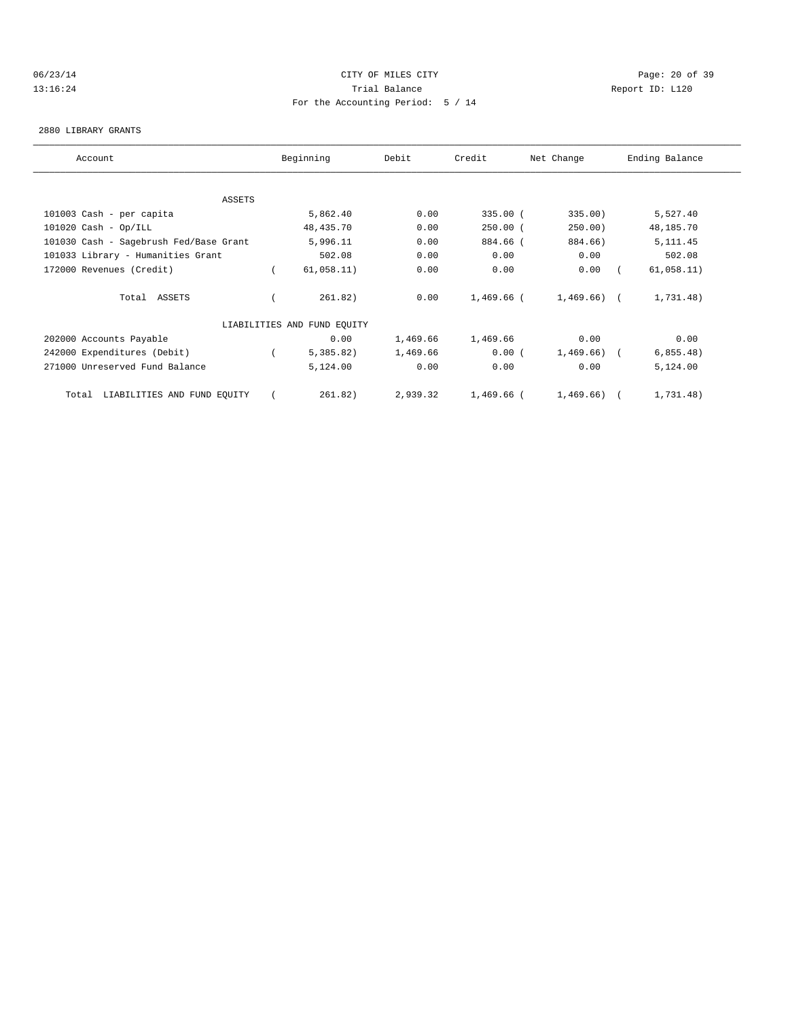# 06/23/14 Page: 20 of 39 13:16:24 Trial Balance Report ID: L120 For the Accounting Period: 5 / 14

#### 2880 LIBRARY GRANTS

| Account                                | Beginning                   | Debit    | Credit     | Net Change     | Ending Balance |
|----------------------------------------|-----------------------------|----------|------------|----------------|----------------|
|                                        |                             |          |            |                |                |
| ASSETS                                 |                             |          |            |                |                |
| 101003 Cash - per capita               | 5,862.40                    | 0.00     | $335.00$ ( | 335.00)        | 5,527.40       |
| $101020$ Cash - Op/ILL                 | 48, 435.70                  | 0.00     | $250.00$ ( | 250.00)        | 48,185.70      |
| 101030 Cash - Sagebrush Fed/Base Grant | 5,996.11                    | 0.00     | 884.66 (   | 884.66)        | 5, 111.45      |
| 101033 Library - Humanities Grant      | 502.08                      | 0.00     | 0.00       | 0.00           | 502.08         |
| 172000 Revenues (Credit)               | 61,058.11)                  | 0.00     | 0.00       | 0.00           | 61,058.11)     |
| Total ASSETS                           | 261.82)                     | 0.00     | 1,469.66 ( | $1,469.66$ ) ( | 1,731.48)      |
|                                        | LIABILITIES AND FUND EQUITY |          |            |                |                |
| 202000 Accounts Payable                | 0.00                        | 1,469.66 | 1,469.66   | 0.00           | 0.00           |
| 242000 Expenditures (Debit)            | 5,385.82)                   | 1,469.66 | 0.00(      | $1,469.66$ ) ( | 6,855.48)      |
| 271000 Unreserved Fund Balance         | 5,124.00                    | 0.00     | 0.00       | 0.00           | 5,124.00       |
| LIABILITIES AND FUND EQUITY<br>Total   | 261.82)                     | 2,939.32 | 1,469.66 ( | 1,469.66)      | 1,731.48)      |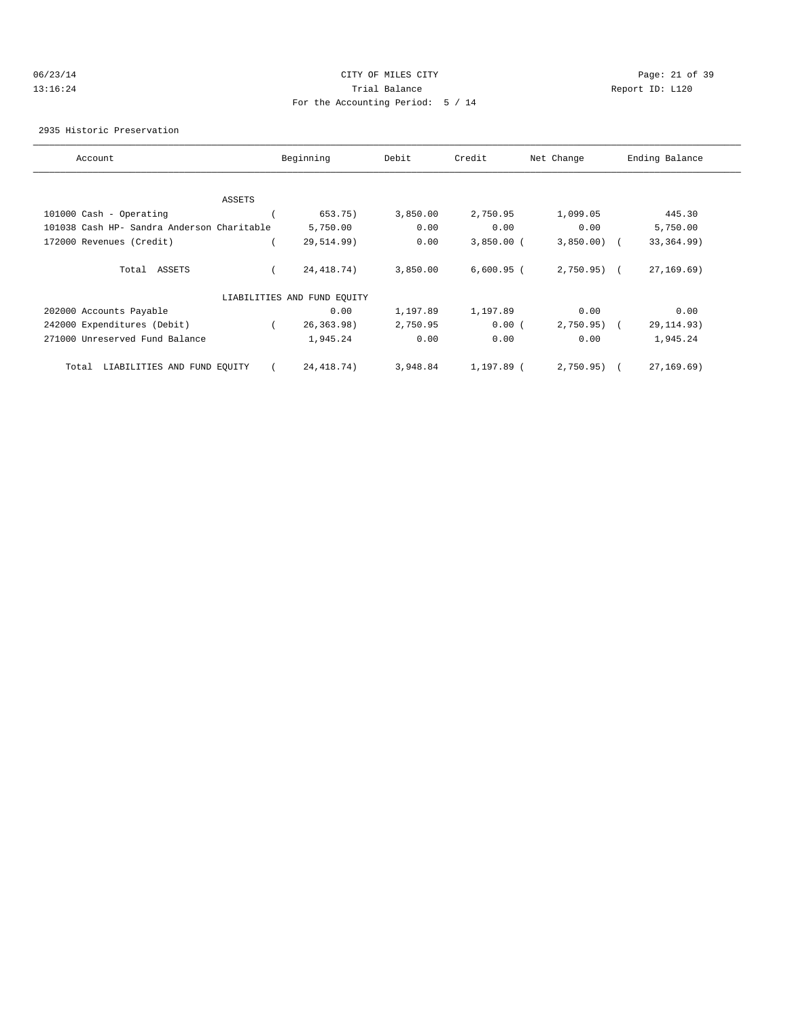### 06/23/14 Page: 21 of 39 13:16:24 Trial Balance Report ID: L120 For the Accounting Period: 5 / 14

2935 Historic Preservation

| Account                                    | Beginning                   | Debit    | Credit       | Net Change   | Ending Balance |
|--------------------------------------------|-----------------------------|----------|--------------|--------------|----------------|
|                                            |                             |          |              |              |                |
| ASSETS                                     |                             |          |              |              |                |
| 101000 Cash - Operating                    | 653.75)                     | 3,850.00 | 2,750.95     | 1,099.05     | 445.30         |
| 101038 Cash HP- Sandra Anderson Charitable | 5,750.00                    | 0.00     | 0.00         | 0.00         | 5,750.00       |
| 172000 Revenues (Credit)                   | 29,514.99)                  | 0.00     | $3,850.00$ ( | 3,850.00     | 33, 364.99)    |
| Total ASSETS                               | 24, 418.74)                 | 3,850.00 | $6,600.95$ ( | $2,750.95$ ( | 27, 169.69)    |
|                                            | LIABILITIES AND FUND EQUITY |          |              |              |                |
| 202000 Accounts Payable                    | 0.00                        | 1,197.89 | 1,197.89     | 0.00         | 0.00           |
| 242000 Expenditures (Debit)                | 26, 363.98)                 | 2,750.95 | 0.00(        | 2,750.95)    | 29, 114.93)    |
| 271000 Unreserved Fund Balance             | 1,945.24                    | 0.00     | 0.00         | 0.00         | 1,945.24       |
| LIABILITIES AND FUND EQUITY<br>Total       | 24, 418.74)                 | 3,948.84 | 1,197.89 (   | 2,750.95)    | 27, 169.69)    |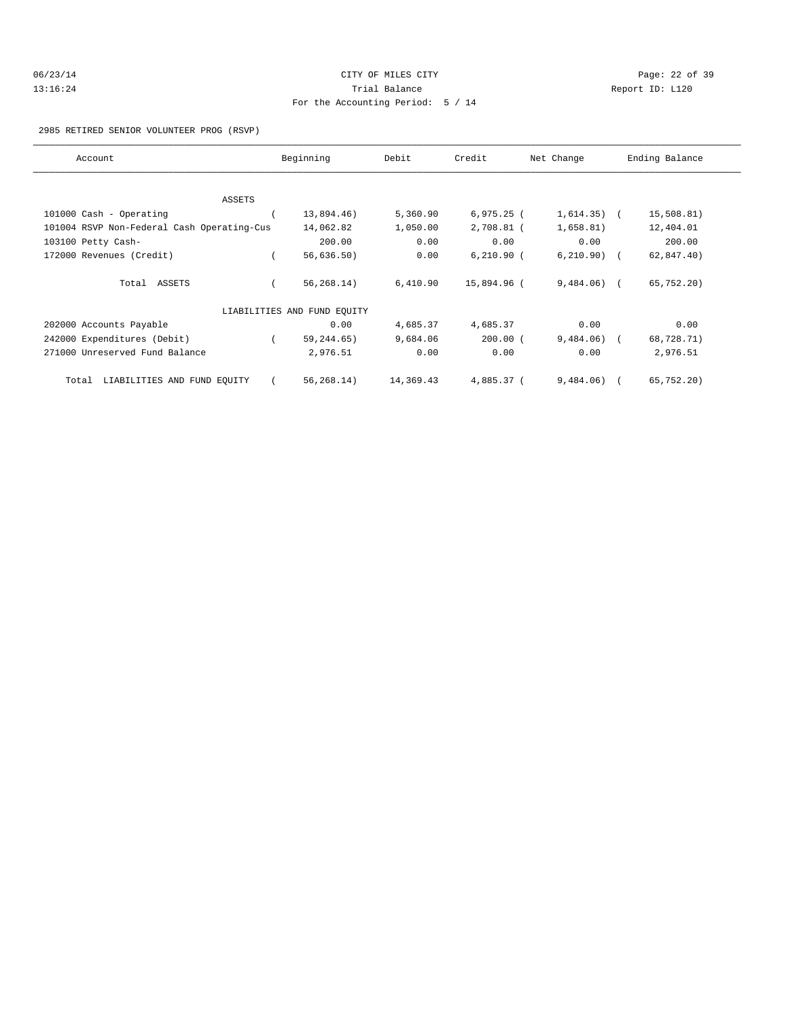| 06/23/14 | CITY OF MILES CITY                | Page: 22 of 39  |  |
|----------|-----------------------------------|-----------------|--|
| 13:16:24 | Trial Balance                     | Report ID: L120 |  |
|          | For the Accounting Period: 5 / 14 |                 |  |

### 2985 RETIRED SENIOR VOLUNTEER PROG (RSVP)

| Account                                    | Beginning                   | Debit     | Credit       | Net Change     | Ending Balance |
|--------------------------------------------|-----------------------------|-----------|--------------|----------------|----------------|
|                                            |                             |           |              |                |                |
| <b>ASSETS</b>                              |                             |           |              |                |                |
| 101000 Cash - Operating                    | 13,894.46)                  | 5,360.90  | $6,975.25$ ( | $1,614.35)$ (  | 15,508.81)     |
| 101004 RSVP Non-Federal Cash Operating-Cus | 14,062.82                   | 1,050.00  | 2,708.81 (   | 1,658.81)      | 12,404.01      |
| 103100 Petty Cash-                         | 200.00                      | 0.00      | 0.00         | 0.00           | 200.00         |
| 172000 Revenues (Credit)                   | 56,636.50)                  | 0.00      | $6,210.90$ ( | $6, 210.90)$ ( | 62,847.40)     |
| Total ASSETS                               | 56, 268.14)                 | 6,410.90  | 15,894.96 (  | $9,484.06$ (   | 65,752.20)     |
|                                            | LIABILITIES AND FUND EQUITY |           |              |                |                |
| 202000 Accounts Payable                    | 0.00                        | 4,685.37  | 4,685.37     | 0.00           | 0.00           |
| 242000 Expenditures (Debit)                | 59, 244.65)                 | 9,684.06  | $200.00$ (   | $9,484.06$ (   | 68,728.71)     |
| 271000 Unreserved Fund Balance             | 2,976.51                    | 0.00      | 0.00         | 0.00           | 2,976.51       |
| LIABILITIES AND FUND EQUITY<br>Total       | 56,268.14)                  | 14,369.43 | 4,885.37 (   | $9,484.06$ (   | 65,752.20)     |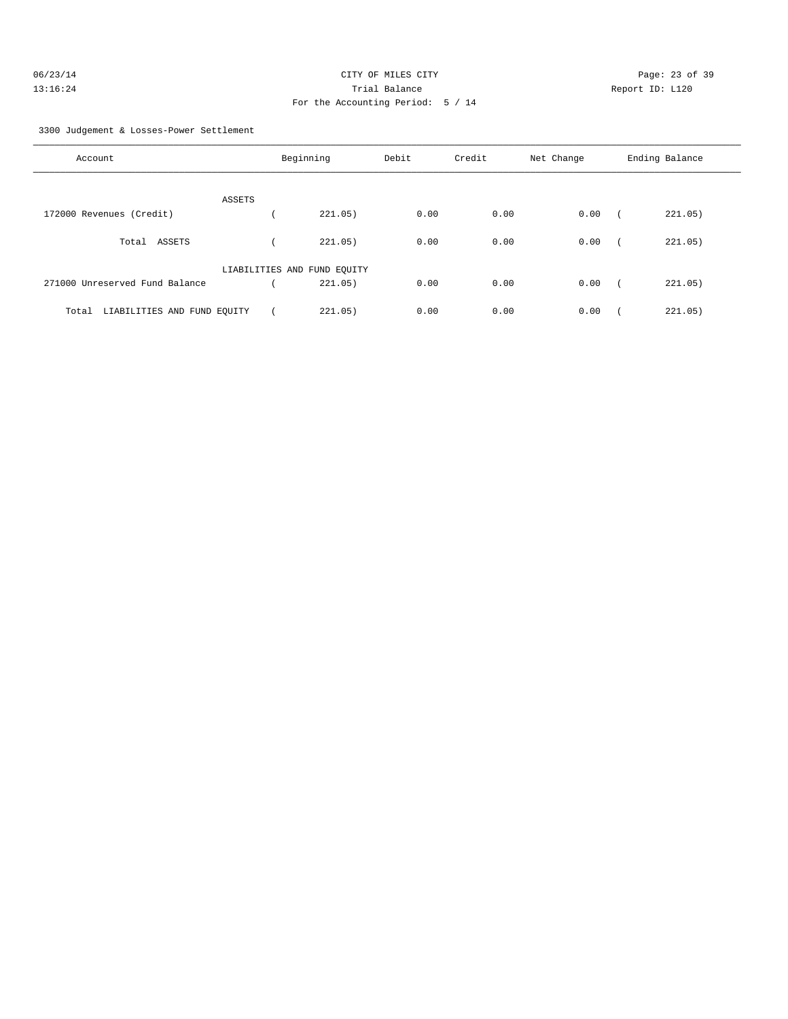| 06/23/14 | CITY OF MILES CITY                | Page: 23 of 39  |  |
|----------|-----------------------------------|-----------------|--|
| 13:16:24 | Trial Balance                     | Report ID: L120 |  |
|          | For the Accounting Period: 5 / 14 |                 |  |

3300 Judgement & Losses-Power Settlement

| Account                              |                             | Beginning | Debit | Credit | Net Change | Ending Balance |
|--------------------------------------|-----------------------------|-----------|-------|--------|------------|----------------|
|                                      | ASSETS                      |           |       |        |            |                |
| 172000 Revenues (Credit)             |                             | 221.05)   | 0.00  | 0.00   | 0.00       | 221.05)        |
| ASSETS<br>Total                      |                             | 221.05)   | 0.00  | 0.00   | 0.00       | 221.05)        |
|                                      | LIABILITIES AND FUND EQUITY |           |       |        |            |                |
| 271000 Unreserved Fund Balance       |                             | 221.05)   | 0.00  | 0.00   | 0.00       | 221.05)        |
| LIABILITIES AND FUND EQUITY<br>Total |                             | 221.05)   | 0.00  | 0.00   | 0.00       | 221.05)        |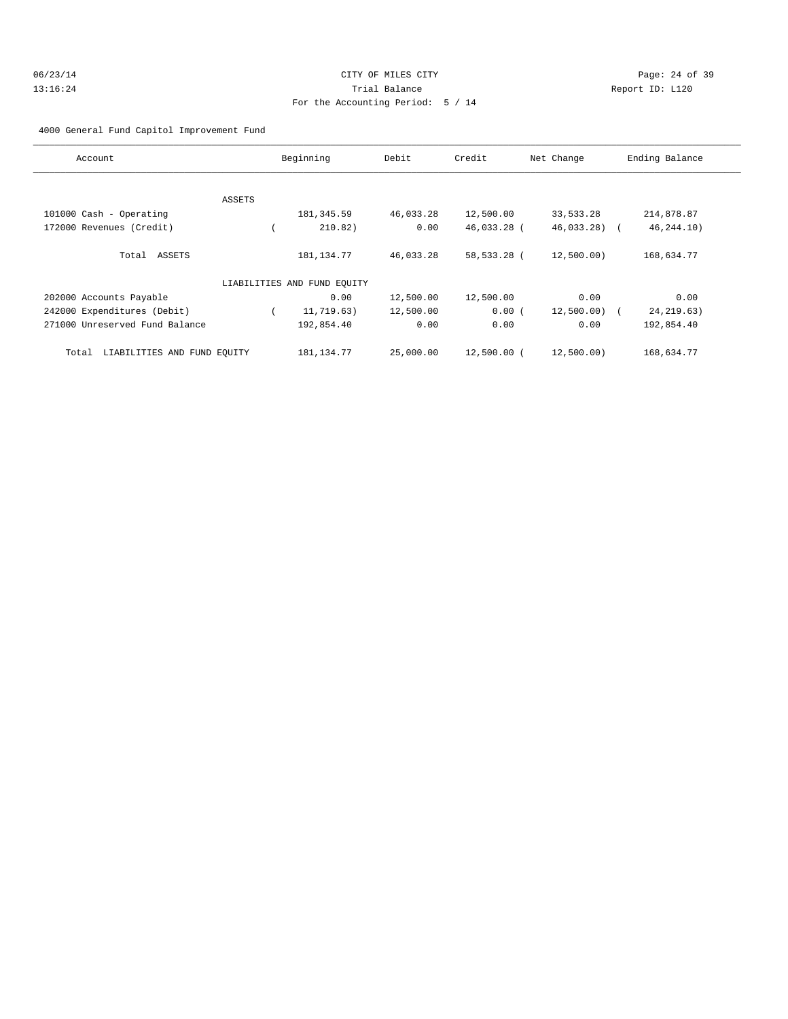### 4000 General Fund Capitol Improvement Fund

| Account                              |        | Beginning                   | Debit     | Credit      | Net Change     | Ending Balance |
|--------------------------------------|--------|-----------------------------|-----------|-------------|----------------|----------------|
|                                      |        |                             |           |             |                |                |
|                                      | ASSETS |                             |           |             |                |                |
| 101000 Cash - Operating              |        | 181, 345.59                 | 46,033.28 | 12,500.00   | 33,533.28      | 214,878.87     |
| 172000 Revenues (Credit)             |        | 210.82)                     | 0.00      | 46,033.28 ( | $46,033,28$ (  | 46, 244. 10)   |
| Total ASSETS                         |        | 181, 134. 77                | 46,033.28 | 58,533.28 ( | 12,500.00)     | 168,634.77     |
|                                      |        | LIABILITIES AND FUND EQUITY |           |             |                |                |
| 202000 Accounts Payable              |        | 0.00                        | 12,500.00 | 12,500.00   | 0.00           | 0.00           |
| 242000 Expenditures (Debit)          |        | 11,719.63)                  | 12,500.00 | 0.00(       | $12,500.00)$ ( | 24, 219.63)    |
| 271000 Unreserved Fund Balance       |        | 192,854.40                  | 0.00      | 0.00        | 0.00           | 192,854.40     |
| LIABILITIES AND FUND EQUITY<br>Total |        | 181, 134. 77                | 25,000.00 | 12,500.00 ( | 12,500.00)     | 168,634.77     |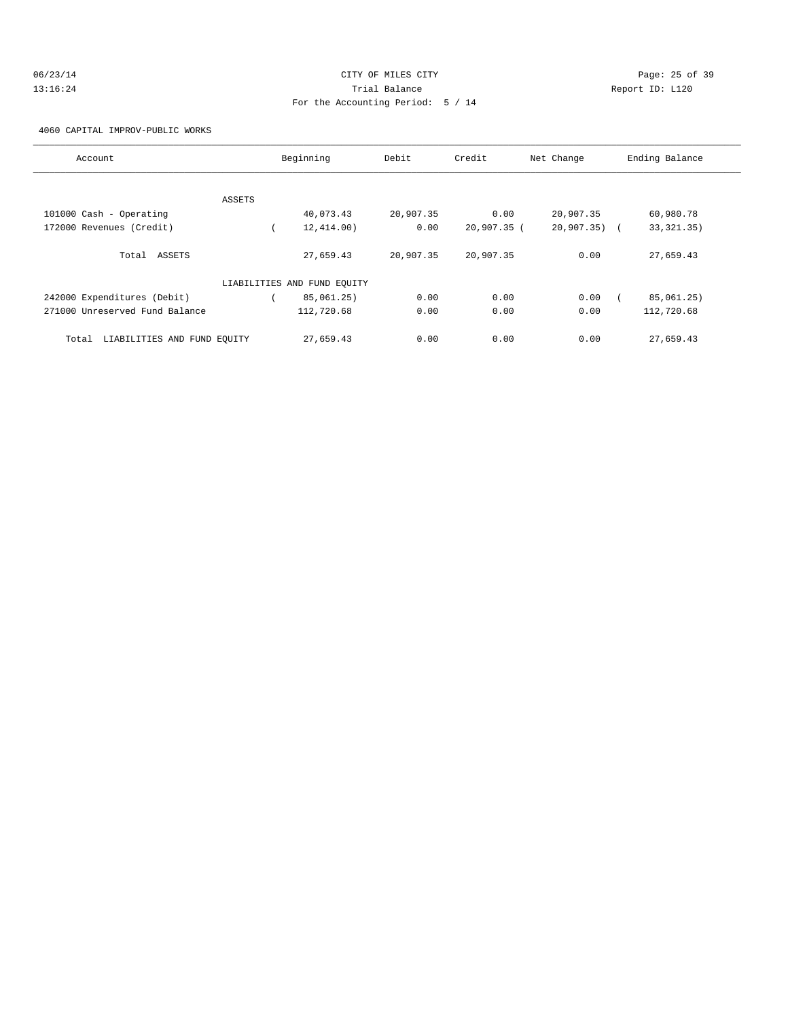| 06/23/14 | CITY OF MILES CITY                | Page: 25 of 39  |
|----------|-----------------------------------|-----------------|
| 13:16:24 | Trial Balance                     | Report ID: L120 |
|          | For the Accounting Period: 5 / 14 |                 |

4060 CAPITAL IMPROV-PUBLIC WORKS

| Account                              |        | Beginning                   | Debit     | Credit      | Net Change   | Ending Balance |
|--------------------------------------|--------|-----------------------------|-----------|-------------|--------------|----------------|
|                                      |        |                             |           |             |              |                |
|                                      | ASSETS |                             |           |             |              |                |
| 101000 Cash - Operating              |        | 40,073.43                   | 20,907.35 | 0.00        | 20,907.35    | 60,980.78      |
| 172000 Revenues (Credit)             |        | 12,414.00)                  | 0.00      | 20,907.35 ( | 20,907.35) ( | 33, 321. 35)   |
| Total ASSETS                         |        | 27,659.43                   | 20,907.35 | 20,907.35   | 0.00         | 27,659.43      |
|                                      |        | LIABILITIES AND FUND EQUITY |           |             |              |                |
| 242000 Expenditures (Debit)          |        | 85,061.25)                  | 0.00      | 0.00        | 0.00         | 85,061.25)     |
| 271000 Unreserved Fund Balance       |        | 112,720.68                  | 0.00      | 0.00        | 0.00         | 112,720.68     |
| LIABILITIES AND FUND EOUITY<br>Total |        | 27,659.43                   | 0.00      | 0.00        | 0.00         | 27,659.43      |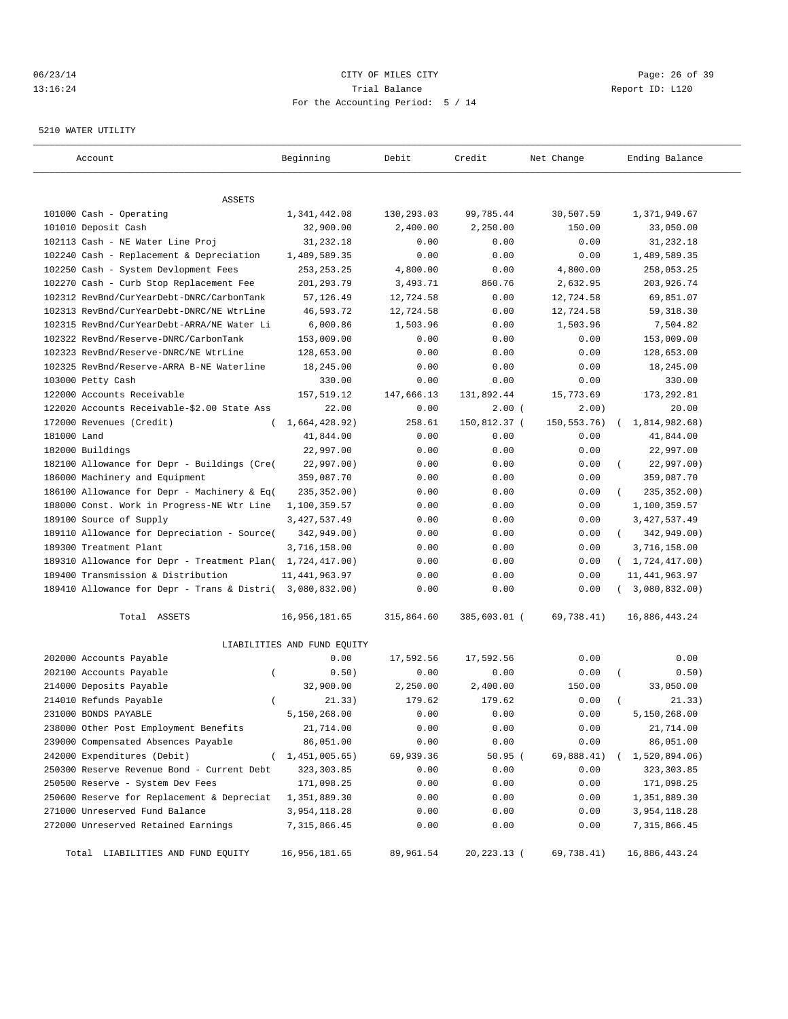### 06/23/14 Page: 26 of 39 13:16:24 Trial Balance Report ID: L120 For the Accounting Period: 5 / 14

#### 5210 WATER UTILITY

| Account                                                   | Beginning                   | Debit      | Credit        | Net Change    | Ending Balance          |
|-----------------------------------------------------------|-----------------------------|------------|---------------|---------------|-------------------------|
| ASSETS                                                    |                             |            |               |               |                         |
| 101000 Cash - Operating                                   | 1,341,442.08                | 130,293.03 | 99,785.44     | 30,507.59     | 1,371,949.67            |
| 101010 Deposit Cash                                       | 32,900.00                   | 2,400.00   | 2,250.00      | 150.00        | 33,050.00               |
| 102113 Cash - NE Water Line Proj                          | 31,232.18                   | 0.00       | 0.00          | 0.00          | 31,232.18               |
| 102240 Cash - Replacement & Depreciation                  | 1,489,589.35                | 0.00       | 0.00          | 0.00          | 1,489,589.35            |
| 102250 Cash - System Devlopment Fees                      | 253, 253. 25                | 4,800.00   | 0.00          | 4,800.00      | 258,053.25              |
| 102270 Cash - Curb Stop Replacement Fee                   | 201,293.79                  | 3,493.71   | 860.76        | 2,632.95      | 203,926.74              |
| 102312 RevBnd/CurYearDebt-DNRC/CarbonTank                 | 57,126.49                   | 12,724.58  | 0.00          | 12,724.58     | 69,851.07               |
| 102313 RevBnd/CurYearDebt-DNRC/NE WtrLine                 | 46,593.72                   | 12,724.58  | 0.00          | 12,724.58     | 59, 318.30              |
| 102315 RevBnd/CurYearDebt-ARRA/NE Water Li                | 6,000.86                    | 1,503.96   | 0.00          | 1,503.96      | 7,504.82                |
| 102322 RevBnd/Reserve-DNRC/CarbonTank                     | 153,009.00                  | 0.00       | 0.00          | 0.00          | 153,009.00              |
| 102323 RevBnd/Reserve-DNRC/NE WtrLine                     | 128,653.00                  | 0.00       | 0.00          | 0.00          | 128,653.00              |
| 102325 RevBnd/Reserve-ARRA B-NE Waterline                 | 18,245.00                   | 0.00       | 0.00          | 0.00          | 18,245.00               |
| 103000 Petty Cash                                         | 330.00                      | 0.00       | 0.00          | 0.00          | 330.00                  |
| 122000 Accounts Receivable                                | 157,519.12                  | 147,666.13 | 131,892.44    | 15,773.69     | 173,292.81              |
| 122020 Accounts Receivable-\$2.00 State Ass               | 22.00                       | 0.00       | 2.00(         | 2.00)         | 20.00                   |
| 172000 Revenues (Credit)                                  | 1,664,428.92)               | 258.61     | 150,812.37 (  | 150, 553. 76) | 1,814,982.68)           |
| 181000 Land                                               | 41,844.00                   | 0.00       | 0.00          | 0.00          | 41,844.00               |
| 182000 Buildings                                          | 22,997.00                   | 0.00       | 0.00          | 0.00          | 22,997.00               |
| 182100 Allowance for Depr - Buildings (Cre(               | 22,997.00)                  | 0.00       | 0.00          | 0.00          | 22,997.00)              |
| 186000 Machinery and Equipment                            | 359,087.70                  | 0.00       | 0.00          | 0.00          | 359,087.70              |
| 186100 Allowance for Depr - Machinery & Eq(               | 235, 352.00)                | 0.00       | 0.00          | 0.00          | 235, 352.00)            |
| 188000 Const. Work in Progress-NE Wtr Line                | 1,100,359.57                | 0.00       | 0.00          | 0.00          | 1,100,359.57            |
| 189100 Source of Supply                                   | 3, 427, 537.49              | 0.00       | 0.00          | 0.00          | 3, 427, 537.49          |
| 189110 Allowance for Depreciation - Source(               | 342,949.00)                 | 0.00       | 0.00          | 0.00          | 342,949.00)<br>$\left($ |
| 189300 Treatment Plant                                    | 3,716,158.00                | 0.00       | 0.00          | 0.00          | 3,716,158.00            |
| 189310 Allowance for Depr - Treatment Plan( 1,724,417.00) |                             | 0.00       | 0.00          | 0.00          | (1, 724, 417.00)        |
| 189400 Transmission & Distribution                        | 11, 441, 963.97             | 0.00       | 0.00          | 0.00          | 11, 441, 963.97         |
| 189410 Allowance for Depr - Trans & Distri( 3,080,832.00) |                             | 0.00       | 0.00          | 0.00          | 3,080,832.00)           |
| Total ASSETS                                              | 16,956,181.65               | 315,864.60 | 385,603.01 (  | 69,738.41)    | 16,886,443.24           |
|                                                           | LIABILITIES AND FUND EQUITY |            |               |               |                         |
| 202000 Accounts Payable                                   | 0.00                        | 17,592.56  | 17,592.56     | 0.00          | 0.00                    |
| 202100 Accounts Payable<br>$\overline{(\ }$               | 0.50)                       | 0.00       | 0.00          | 0.00          | 0.50)                   |
| 214000 Deposits Payable                                   | 32,900.00                   | 2,250.00   | 2,400.00      | 150.00        | 33,050.00               |
| 214010 Refunds Payable                                    | 21.33)                      | 179.62     | 179.62        | 0.00          | 21.33)                  |
| 231000 BONDS PAYABLE                                      | 5,150,268.00                | 0.00       | 0.00          | 0.00          | 5,150,268.00            |
| 238000 Other Post Employment Benefits                     | 21,714.00                   | 0.00       | 0.00          | 0.00          | 21,714.00               |
| 239000 Compensated Absences Payable                       | 86,051.00                   | 0.00       | 0.00          | 0.00          | 86,051.00               |
| 242000 Expenditures (Debit)                               | 1,451,005.65)               | 69,939.36  | 50.95(        | 69,888.41)    | 1,520,894.06)           |
| 250300 Reserve Revenue Bond - Current Debt                | 323, 303.85                 | 0.00       | 0.00          | 0.00          | 323, 303.85             |
| 250500 Reserve - System Dev Fees                          | 171,098.25                  | 0.00       | 0.00          | 0.00          | 171,098.25              |
| 250600 Reserve for Replacement & Depreciat                | 1,351,889.30                | 0.00       | 0.00          | 0.00          | 1,351,889.30            |
| 271000 Unreserved Fund Balance                            | 3,954,118.28                | 0.00       | 0.00          | 0.00          | 3,954,118.28            |
| 272000 Unreserved Retained Earnings                       | 7,315,866.45                | 0.00       | 0.00          | 0.00          | 7, 315, 866.45          |
| Total LIABILITIES AND FUND EQUITY                         | 16,956,181.65               | 89,961.54  | 20, 223. 13 ( | 69,738.41)    | 16,886,443.24           |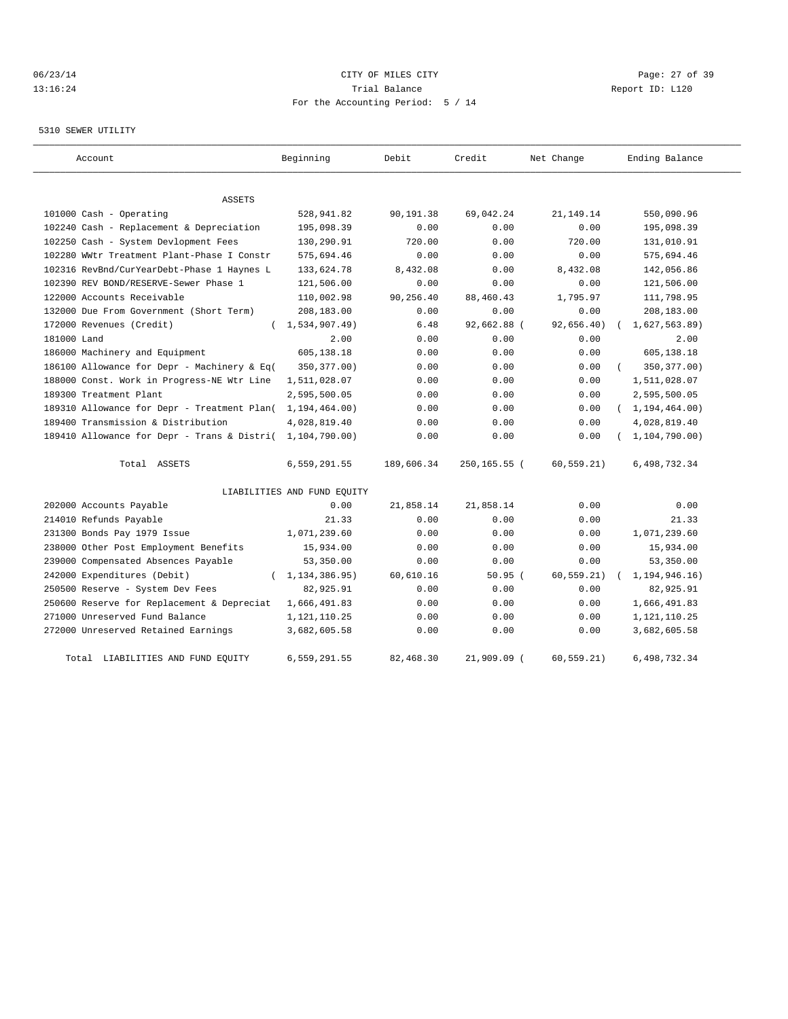### 06/23/14 Page: 27 of 39 13:16:24 Trial Balance Report ID: L120 For the Accounting Period: 5 / 14

### 5310 SEWER UTILITY

| Account                                                   | Beginning                   | Debit      | Credit       | Net Change  | Ending Balance   |
|-----------------------------------------------------------|-----------------------------|------------|--------------|-------------|------------------|
| <b>ASSETS</b>                                             |                             |            |              |             |                  |
| 101000 Cash - Operating                                   | 528,941.82                  | 90,191.38  | 69,042.24    | 21, 149. 14 | 550,090.96       |
| 102240 Cash - Replacement & Depreciation                  | 195,098.39                  | 0.00       | 0.00         | 0.00        | 195,098.39       |
| 102250 Cash - System Devlopment Fees                      | 130,290.91                  | 720.00     | 0.00         | 720.00      | 131,010.91       |
| 102280 WWtr Treatment Plant-Phase I Constr                | 575,694.46                  | 0.00       | 0.00         | 0.00        | 575,694.46       |
| 102316 RevBnd/CurYearDebt-Phase 1 Haynes L                | 133,624.78                  | 8,432.08   | 0.00         | 8,432.08    | 142,056.86       |
| 102390 REV BOND/RESERVE-Sewer Phase 1                     | 121,506.00                  | 0.00       | 0.00         | 0.00        | 121,506.00       |
| 122000 Accounts Receivable                                | 110,002.98                  | 90,256.40  | 88,460.43    | 1,795.97    | 111,798.95       |
| 132000 Due From Government (Short Term)                   | 208,183.00                  | 0.00       | 0.00         | 0.00        | 208,183.00       |
| 172000 Revenues (Credit)                                  | 1,534,907.49)<br>$\left($   | 6.48       | 92,662.88 (  | 92,656.40)  | 1,627,563.89     |
| 181000 Land                                               | 2.00                        | 0.00       | 0.00         | 0.00        | 2.00             |
| 186000 Machinery and Equipment                            | 605,138.18                  | 0.00       | 0.00         | 0.00        | 605,138.18       |
| 186100 Allowance for Depr - Machinery & Eq(               | 350, 377.00)                | 0.00       | 0.00         | 0.00        | 350, 377.00)     |
| 188000 Const. Work in Progress-NE Wtr Line                | 1,511,028.07                | 0.00       | 0.00         | 0.00        | 1,511,028.07     |
| 189300 Treatment Plant                                    | 2,595,500.05                | 0.00       | 0.00         | 0.00        | 2,595,500.05     |
| 189310 Allowance for Depr - Treatment Plan(               | 1,194,464.00)               | 0.00       | 0.00         | 0.00        | (1, 194, 464.00) |
| 189400 Transmission & Distribution                        | 4,028,819.40                | 0.00       | 0.00         | 0.00        | 4,028,819.40     |
| 189410 Allowance for Depr - Trans & Distri( 1,104,790.00) |                             | 0.00       | 0.00         | 0.00        | 1, 104, 790.00)  |
| Total ASSETS                                              | 6,559,291.55                | 189,606.34 | 250,165.55 ( | 60, 559.21) | 6,498,732.34     |
|                                                           | LIABILITIES AND FUND EQUITY |            |              |             |                  |
| 202000 Accounts Payable                                   | 0.00                        | 21,858.14  | 21,858.14    | 0.00        | 0.00             |
| 214010 Refunds Payable                                    | 21.33                       | 0.00       | 0.00         | 0.00        | 21.33            |
| 231300 Bonds Pay 1979 Issue                               | 1,071,239.60                | 0.00       | 0.00         | 0.00        | 1,071,239.60     |
| 238000 Other Post Employment Benefits                     | 15,934.00                   | 0.00       | 0.00         | 0.00        | 15,934.00        |
| 239000 Compensated Absences Payable                       | 53,350.00                   | 0.00       | 0.00         | 0.00        | 53,350.00        |
| 242000 Expenditures (Debit)<br>$\left($                   | 1, 134, 386.95)             | 60,610.16  | 50.95(       | 60, 559.21) | 1,194,946.16)    |
| 250500 Reserve - System Dev Fees                          | 82,925.91                   | 0.00       | 0.00         | 0.00        | 82,925.91        |
| 250600 Reserve for Replacement & Depreciat                | 1,666,491.83                | 0.00       | 0.00         | 0.00        | 1,666,491.83     |
| 271000 Unreserved Fund Balance                            | 1,121,110.25                | 0.00       | 0.00         | 0.00        | 1, 121, 110.25   |
| 272000 Unreserved Retained Earnings                       | 3,682,605.58                | 0.00       | 0.00         | 0.00        | 3,682,605.58     |
| Total LIABILITIES AND FUND EQUITY                         | 6,559,291.55                | 82,468.30  | 21,909.09 (  | 60, 559.21) | 6,498,732.34     |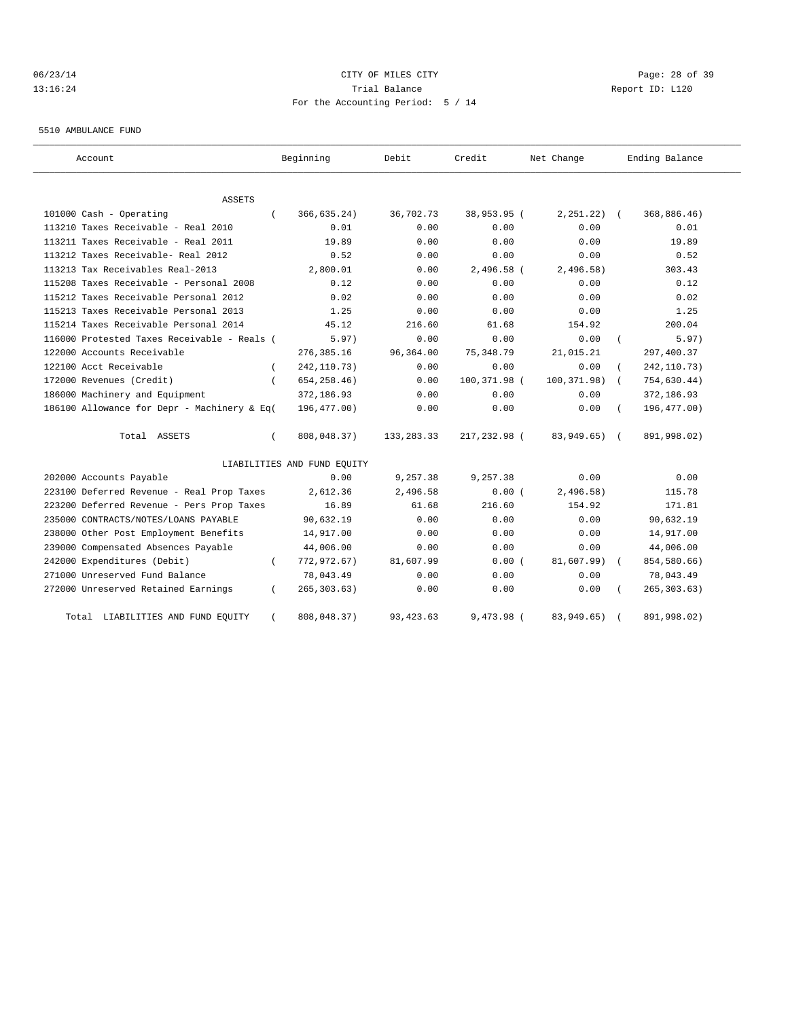# 06/23/14 Page: 28 of 39 13:16:24 Trial Balance Report ID: L120 For the Accounting Period: 5 / 14

5510 AMBULANCE FUND

| Account                                     |          | Beginning                   | Debit        | Credit       | Net Change   |            | Ending Balance |
|---------------------------------------------|----------|-----------------------------|--------------|--------------|--------------|------------|----------------|
| ASSETS                                      |          |                             |              |              |              |            |                |
| 101000 Cash - Operating                     |          | 366,635.24)                 | 36,702.73    | 38,953.95 (  | 2, 251, 22)  | $\sqrt{2}$ | 368,886.46)    |
| 113210 Taxes Receivable - Real 2010         |          | 0.01                        | 0.00         | 0.00         | 0.00         |            | 0.01           |
| 113211 Taxes Receivable - Real 2011         |          | 19.89                       | 0.00         | 0.00         | 0.00         |            | 19.89          |
| 113212 Taxes Receivable- Real 2012          |          | 0.52                        | 0.00         | 0.00         | 0.00         |            | 0.52           |
| 113213 Tax Receivables Real-2013            |          | 2,800.01                    | 0.00         | $2,496.58$ ( | 2,496.58)    |            | 303.43         |
| 115208 Taxes Receivable - Personal 2008     |          | 0.12                        | 0.00         | 0.00         | 0.00         |            | 0.12           |
| 115212 Taxes Receivable Personal 2012       |          | 0.02                        | 0.00         | 0.00         | 0.00         |            | 0.02           |
| 115213 Taxes Receivable Personal 2013       |          | 1.25                        | 0.00         | 0.00         | 0.00         |            | 1.25           |
| 115214 Taxes Receivable Personal 2014       |          | 45.12                       | 216.60       | 61.68        | 154.92       |            | 200.04         |
| 116000 Protested Taxes Receivable - Reals ( |          | 5.97)                       | 0.00         | 0.00         | 0.00         |            | 5.97)          |
| 122000 Accounts Receivable                  |          | 276,385.16                  | 96,364.00    | 75,348.79    | 21,015.21    |            | 297,400.37     |
| 122100 Acct Receivable                      |          | 242, 110.73)                | 0.00         | 0.00         | 0.00         |            | 242, 110.73)   |
| 172000 Revenues (Credit)                    |          | 654, 258.46)                | 0.00         | 100,371.98 ( | 100,371.98)  | $\sqrt{2}$ | 754,630.44)    |
| 186000 Machinery and Equipment              |          | 372,186.93                  | 0.00         | 0.00         | 0.00         |            | 372,186.93     |
| 186100 Allowance for Depr - Machinery & Eq( |          | 196,477.00)                 | 0.00         | 0.00         | 0.00         |            | 196,477.00)    |
| Total ASSETS                                | $\left($ | 808,048.37)                 | 133, 283. 33 | 217,232.98 ( | 83,949.65) ( |            | 891,998.02)    |
|                                             |          | LIABILITIES AND FUND EQUITY |              |              |              |            |                |
| 202000 Accounts Payable                     |          | 0.00                        | 9,257.38     | 9,257.38     | 0.00         |            | 0.00           |
| 223100 Deferred Revenue - Real Prop Taxes   |          | 2,612.36                    | 2,496.58     | 0.00(        | 2,496.58)    |            | 115.78         |
| 223200 Deferred Revenue - Pers Prop Taxes   |          | 16.89                       | 61.68        | 216.60       | 154.92       |            | 171.81         |
| 235000 CONTRACTS/NOTES/LOANS PAYABLE        |          | 90,632.19                   | 0.00         | 0.00         | 0.00         |            | 90,632.19      |
| 238000 Other Post Employment Benefits       |          | 14,917.00                   | 0.00         | 0.00         | 0.00         |            | 14,917.00      |
| 239000 Compensated Absences Payable         |          | 44,006.00                   | 0.00         | 0.00         | 0.00         |            | 44,006.00      |
| 242000 Expenditures (Debit)                 |          | 772,972.67)                 | 81,607.99    | 0.00(        | 81,607.99)   |            | 854,580.66)    |
| 271000 Unreserved Fund Balance              |          | 78,043.49                   | 0.00         | 0.00         | 0.00         |            | 78,043.49      |
| 272000 Unreserved Retained Earnings         | $\left($ | 265, 303.63)                | 0.00         | 0.00         | 0.00         |            | 265, 303.63)   |
| Total LIABILITIES AND FUND EQUITY           |          | 808,048.37)                 | 93, 423, 63  | 9,473.98 (   | 83,949.65)   |            | 891,998.02)    |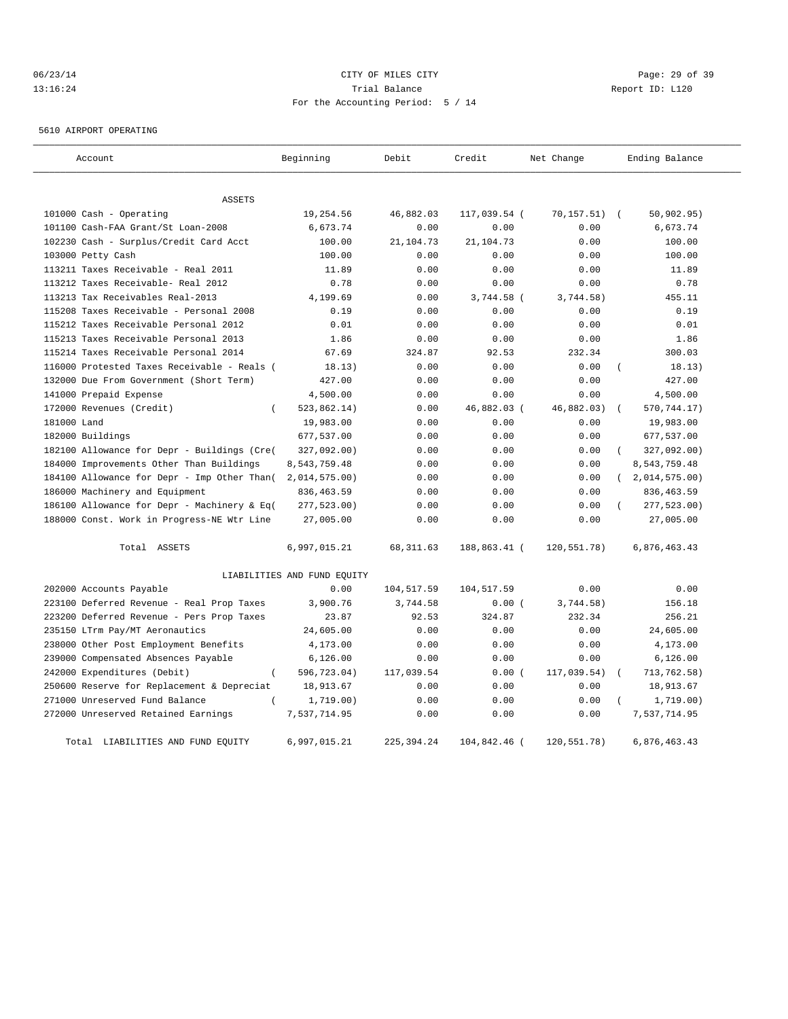# 06/23/14 Page: 29 of 39 13:16:24 Trial Balance Report ID: L120 For the Accounting Period: 5 / 14

5610 AIRPORT OPERATING

| Account                                         | Beginning                   | Debit       | Credit       | Net Change  | Ending Balance            |
|-------------------------------------------------|-----------------------------|-------------|--------------|-------------|---------------------------|
| <b>ASSETS</b>                                   |                             |             |              |             |                           |
| 101000 Cash - Operating                         | 19,254.56                   | 46,882.03   | 117,039.54 ( | 70, 157.51) | 50, 902.95)<br>$\sqrt{2}$ |
| 101100 Cash-FAA Grant/St Loan-2008              | 6,673.74                    | 0.00        | 0.00         | 0.00        | 6,673.74                  |
| 102230 Cash - Surplus/Credit Card Acct          | 100.00                      | 21,104.73   | 21,104.73    | 0.00        | 100.00                    |
| 103000 Petty Cash                               | 100.00                      | 0.00        | 0.00         | 0.00        | 100.00                    |
| 113211 Taxes Receivable - Real 2011             | 11.89                       | 0.00        | 0.00         | 0.00        | 11.89                     |
| 113212 Taxes Receivable- Real 2012              | 0.78                        | 0.00        | 0.00         | 0.00        | 0.78                      |
| 113213 Tax Receivables Real-2013                | 4,199.69                    | 0.00        | 3,744.58 (   | 3,744.58)   | 455.11                    |
| 115208 Taxes Receivable - Personal 2008         | 0.19                        | 0.00        | 0.00         | 0.00        | 0.19                      |
| 115212 Taxes Receivable Personal 2012           | 0.01                        | 0.00        | 0.00         | 0.00        | 0.01                      |
| 115213 Taxes Receivable Personal 2013           | 1.86                        | 0.00        | 0.00         | 0.00        | 1.86                      |
| 115214 Taxes Receivable Personal 2014           | 67.69                       | 324.87      | 92.53        | 232.34      | 300.03                    |
| 116000 Protested Taxes Receivable - Reals (     | 18.13)                      | 0.00        | 0.00         | 0.00        | 18.13)                    |
| 132000 Due From Government (Short Term)         | 427.00                      | 0.00        | 0.00         | 0.00        | 427.00                    |
| 141000 Prepaid Expense                          | 4,500.00                    | 0.00        | 0.00         | 0.00        | 4,500.00                  |
| 172000 Revenues (Credit)<br>$\left($            | 523,862.14)                 | 0.00        | 46,882.03 (  | 46,882.03)  | 570,744.17)<br>$\left($   |
| 181000 Land                                     | 19,983.00                   | 0.00        | 0.00         | 0.00        | 19,983.00                 |
| 182000 Buildings                                | 677,537.00                  | 0.00        | 0.00         | 0.00        | 677,537.00                |
| 182100 Allowance for Depr - Buildings (Cre(     | 327,092.00)                 | 0.00        | 0.00         | 0.00        | 327,092.00)<br>$\left($   |
| 184000 Improvements Other Than Buildings        | 8,543,759.48                | 0.00        | 0.00         | 0.00        | 8,543,759.48              |
| 184100 Allowance for Depr - Imp Other Than (    | $2,014,575.00$ )            | 0.00        | 0.00         | 0.00        | (2,014,575.00)            |
| 186000 Machinery and Equipment                  | 836, 463.59                 | 0.00        | 0.00         | 0.00        | 836, 463.59               |
| 186100 Allowance for Depr - Machinery & Eq(     | 277,523.00)                 | 0.00        | 0.00         | 0.00        | 277,523.00)               |
| 188000 Const. Work in Progress-NE Wtr Line      | 27,005.00                   | 0.00        | 0.00         | 0.00        | 27,005.00                 |
| Total ASSETS                                    | 6,997,015.21                | 68, 311.63  | 188,863.41 ( | 120,551.78) | 6,876,463.43              |
|                                                 | LIABILITIES AND FUND EQUITY |             |              |             |                           |
| 202000 Accounts Payable                         | 0.00                        | 104,517.59  | 104,517.59   | 0.00        | 0.00                      |
| 223100 Deferred Revenue - Real Prop Taxes       | 3,900.76                    | 3,744.58    | 0.00(        | 3,744.58)   | 156.18                    |
| 223200 Deferred Revenue - Pers Prop Taxes       | 23.87                       | 92.53       | 324.87       | 232.34      | 256.21                    |
| 235150 LTrm Pay/MT Aeronautics                  | 24,605.00                   | 0.00        | 0.00         | 0.00        | 24,605.00                 |
| 238000 Other Post Employment Benefits           | 4,173.00                    | 0.00        | 0.00         | 0.00        | 4,173.00                  |
| 239000 Compensated Absences Payable             | 6, 126.00                   | 0.00        | 0.00         | 0.00        | 6, 126.00                 |
| 242000 Expenditures (Debit)<br>$\overline{(\ }$ | 596,723.04)                 | 117,039.54  | 0.00(        | 117,039.54) | 713,762.58)               |
| 250600 Reserve for Replacement & Depreciat      | 18,913.67                   | 0.00        | 0.00         | 0.00        | 18,913.67                 |
| 271000 Unreserved Fund Balance                  | 1,719.00)                   | 0.00        | 0.00         | 0.00        | 1,719.00)                 |
| 272000 Unreserved Retained Earnings             | 7,537,714.95                | 0.00        | 0.00         | 0.00        | 7,537,714.95              |
| Total LIABILITIES AND FUND EQUITY               | 6,997,015.21                | 225, 394.24 | 104,842.46 ( | 120,551.78) | 6,876,463.43              |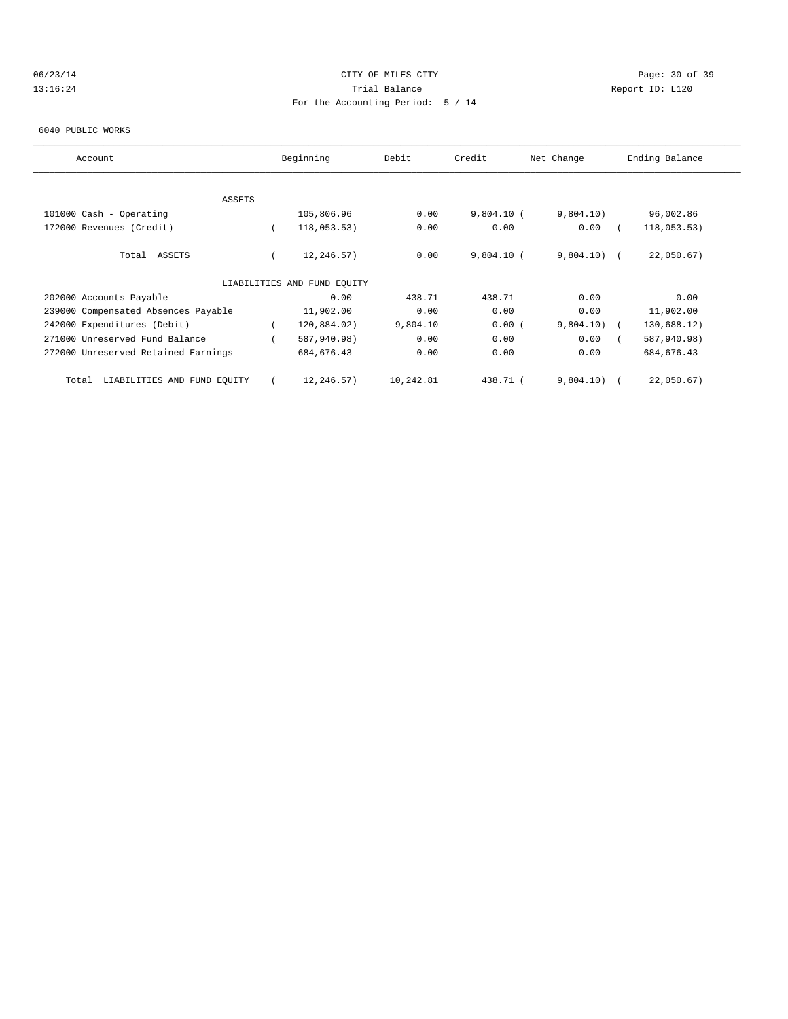# 06/23/14 Page: 30 of 39 13:16:24 Trial Balance Report ID: L120 For the Accounting Period: 5 / 14

#### 6040 PUBLIC WORKS

| Account                              | Beginning                   | Debit     | Credit       | Net Change    | Ending Balance |  |
|--------------------------------------|-----------------------------|-----------|--------------|---------------|----------------|--|
|                                      |                             |           |              |               |                |  |
| ASSETS                               |                             |           |              |               |                |  |
| 101000 Cash - Operating              | 105,806.96                  | 0.00      | $9,804.10$ ( | 9,804.10)     | 96,002.86      |  |
| 172000 Revenues (Credit)             | 118,053.53)                 | 0.00      | 0.00         | 0.00          | 118,053.53)    |  |
| Total ASSETS                         | 12,246.57)                  | 0.00      | $9,804.10$ ( | $9,804.10)$ ( | 22,050.67)     |  |
|                                      | LIABILITIES AND FUND EQUITY |           |              |               |                |  |
| 202000 Accounts Payable              | 0.00                        | 438.71    | 438.71       | 0.00          | 0.00           |  |
| 239000 Compensated Absences Payable  | 11,902.00                   | 0.00      | 0.00         | 0.00          | 11,902.00      |  |
| 242000 Expenditures (Debit)          | 120,884.02)                 | 9,804.10  | 0.00(        | 9,804.10)     | 130,688.12)    |  |
| 271000 Unreserved Fund Balance       | 587,940.98)                 | 0.00      | 0.00         | 0.00          | 587,940.98)    |  |
| 272000 Unreserved Retained Earnings  | 684, 676.43                 | 0.00      | 0.00         | 0.00          | 684, 676.43    |  |
| LIABILITIES AND FUND EQUITY<br>Total | 12,246.57)                  | 10,242.81 | 438.71 (     | 9,804.10)     | 22,050.67)     |  |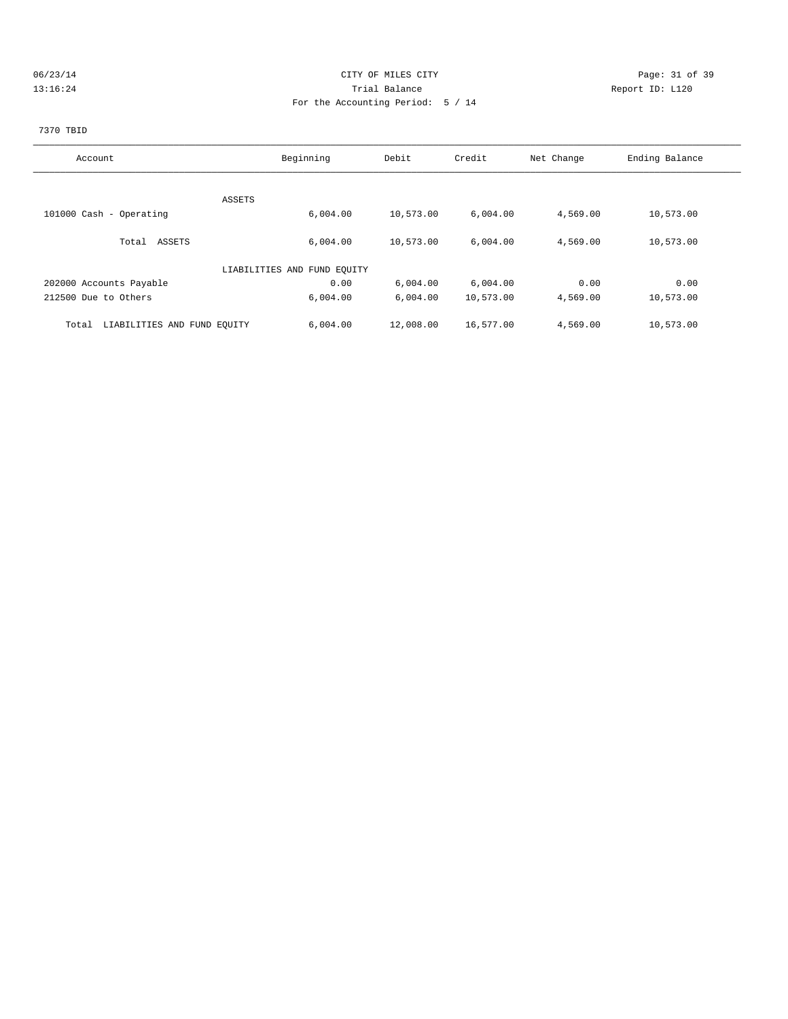### 06/23/14 Page: 31 of 39 13:16:24 Trial Balance Report ID: L120 For the Accounting Period: 5 / 14

# 7370 TBID

| Account                              | Beginning                   | Debit     | Credit    | Net Change | Ending Balance |
|--------------------------------------|-----------------------------|-----------|-----------|------------|----------------|
|                                      |                             |           |           |            |                |
|                                      | ASSETS                      |           |           |            |                |
| 101000 Cash - Operating              | 6,004.00                    | 10,573.00 | 6,004.00  | 4,569.00   | 10,573.00      |
| Total ASSETS                         | 6,004.00                    | 10,573.00 | 6,004.00  | 4,569.00   | 10,573.00      |
|                                      | LIABILITIES AND FUND EQUITY |           |           |            |                |
| 202000 Accounts Payable              | 0.00                        | 6,004.00  | 6,004.00  | 0.00       | 0.00           |
| 212500 Due to Others                 | 6,004.00                    | 6,004.00  | 10,573.00 | 4,569.00   | 10,573.00      |
| LIABILITIES AND FUND EQUITY<br>Total | 6,004.00                    | 12,008.00 | 16,577.00 | 4,569.00   | 10,573.00      |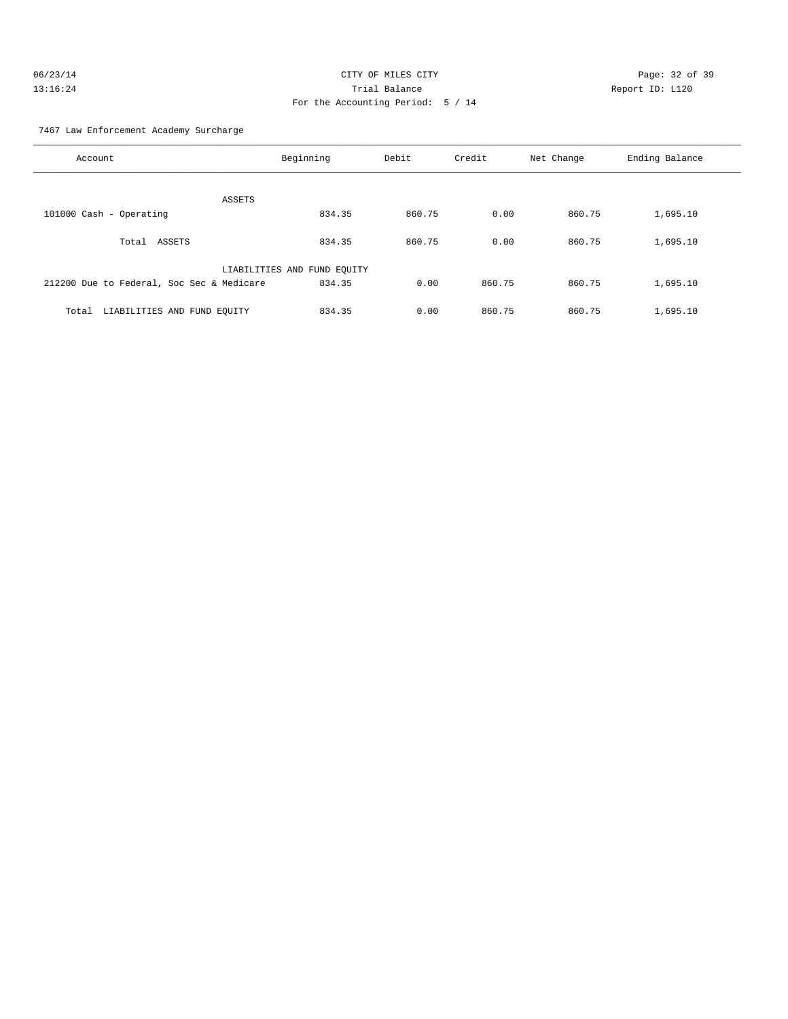| 06/23/14 | CITY OF MILES CITY                |                 | Page: 32 of 39 |  |
|----------|-----------------------------------|-----------------|----------------|--|
| 13:16:24 | Trial Balance                     | Report ID: L120 |                |  |
|          | For the Accounting Period: 5 / 14 |                 |                |  |

7467 Law Enforcement Academy Surcharge

| Account                                   | Beginning                   | Debit  | Credit | Net Change | Ending Balance |
|-------------------------------------------|-----------------------------|--------|--------|------------|----------------|
| ASSETS                                    |                             |        |        |            |                |
| 101000 Cash - Operating                   | 834.35                      | 860.75 | 0.00   | 860.75     | 1,695.10       |
| ASSETS<br>Total                           | 834.35                      | 860.75 | 0.00   | 860.75     | 1,695.10       |
|                                           | LIABILITIES AND FUND EQUITY |        |        |            |                |
| 212200 Due to Federal, Soc Sec & Medicare | 834.35                      | 0.00   | 860.75 | 860.75     | 1,695.10       |
| LIABILITIES AND FUND EQUITY<br>Total      | 834.35                      | 0.00   | 860.75 | 860.75     | 1,695.10       |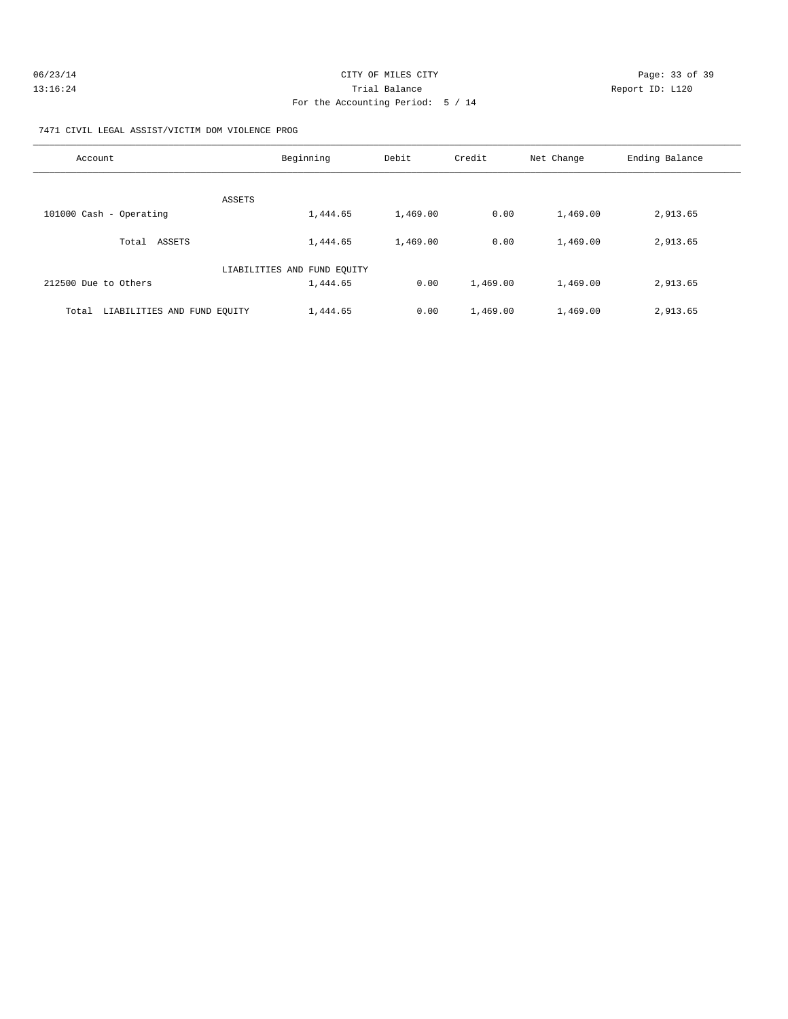| 06/23/14 | CITY OF MILES CITY                | Page: 33 of 39  |
|----------|-----------------------------------|-----------------|
| 13:16:24 | Trial Balance                     | Report ID: L120 |
|          | For the Accounting Period: 5 / 14 |                 |

7471 CIVIL LEGAL ASSIST/VICTIM DOM VIOLENCE PROG

| Account                              | Beginning                   | Debit    | Credit   | Net Change | Ending Balance |
|--------------------------------------|-----------------------------|----------|----------|------------|----------------|
| ASSETS                               |                             |          |          |            |                |
| 101000 Cash - Operating              | 1,444.65                    | 1,469.00 | 0.00     | 1,469.00   | 2,913.65       |
| ASSETS<br>Total                      | 1,444.65                    | 1,469.00 | 0.00     | 1,469.00   | 2,913.65       |
|                                      | LIABILITIES AND FUND EQUITY |          |          |            |                |
| 212500 Due to Others                 | 1,444.65                    | 0.00     | 1,469.00 | 1,469.00   | 2,913.65       |
| LIABILITIES AND FUND EQUITY<br>Total | 1,444.65                    | 0.00     | 1,469.00 | 1,469.00   | 2,913.65       |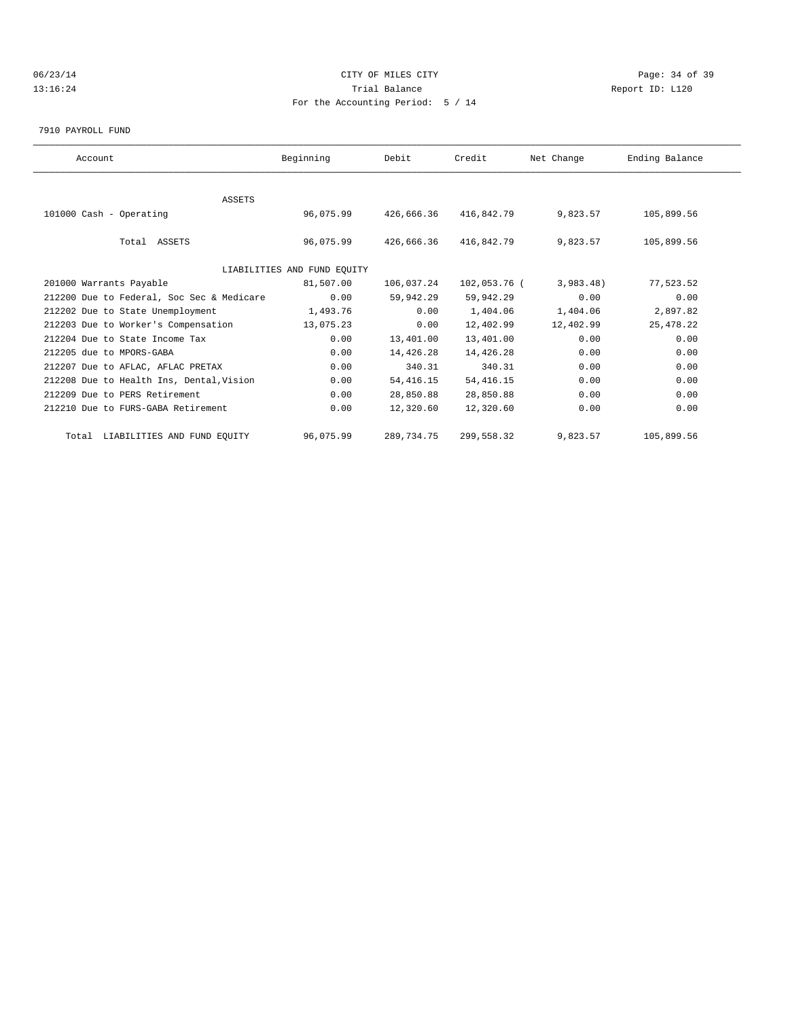### 06/23/14 Page: 34 of 39 13:16:24 Trial Balance Report ID: L120 For the Accounting Period: 5 / 14

7910 PAYROLL FUND

| Account                                   | Beginning                   | Debit      | Credit       | Net Change | Ending Balance |  |
|-------------------------------------------|-----------------------------|------------|--------------|------------|----------------|--|
|                                           |                             |            |              |            |                |  |
| ASSETS                                    |                             |            |              |            |                |  |
| 101000 Cash - Operating                   | 96,075.99                   | 426,666.36 | 416,842.79   | 9,823.57   | 105,899.56     |  |
| Total ASSETS                              | 96,075.99                   | 426,666.36 | 416,842.79   | 9,823.57   | 105,899.56     |  |
|                                           | LIABILITIES AND FUND EQUITY |            |              |            |                |  |
| 201000 Warrants Payable                   | 81,507.00                   | 106,037.24 | 102,053.76 ( | 3,983.48)  | 77,523.52      |  |
| 212200 Due to Federal, Soc Sec & Medicare | 0.00                        | 59,942.29  | 59,942.29    | 0.00       | 0.00           |  |
| 212202 Due to State Unemployment          | 1,493.76                    | 0.00       | 1,404.06     | 1,404.06   | 2,897.82       |  |
| 212203 Due to Worker's Compensation       | 13,075.23                   | 0.00       | 12,402.99    | 12,402.99  | 25, 478.22     |  |
| 212204 Due to State Income Tax            | 0.00                        | 13,401.00  | 13,401.00    | 0.00       | 0.00           |  |
| 212205 due to MPORS-GABA                  | 0.00                        | 14,426.28  | 14,426.28    | 0.00       | 0.00           |  |
| 212207 Due to AFLAC, AFLAC PRETAX         | 0.00                        | 340.31     | 340.31       | 0.00       | 0.00           |  |
| 212208 Due to Health Ins, Dental, Vision  | 0.00                        | 54, 416.15 | 54, 416.15   | 0.00       | 0.00           |  |
| 212209 Due to PERS Retirement             | 0.00                        | 28,850.88  | 28,850.88    | 0.00       | 0.00           |  |
| 212210 Due to FURS-GABA Retirement        | 0.00                        | 12,320.60  | 12,320.60    | 0.00       | 0.00           |  |
| Total LIABILITIES AND FUND EQUITY         | 96,075.99                   | 289,734.75 | 299,558.32   | 9,823.57   | 105,899.56     |  |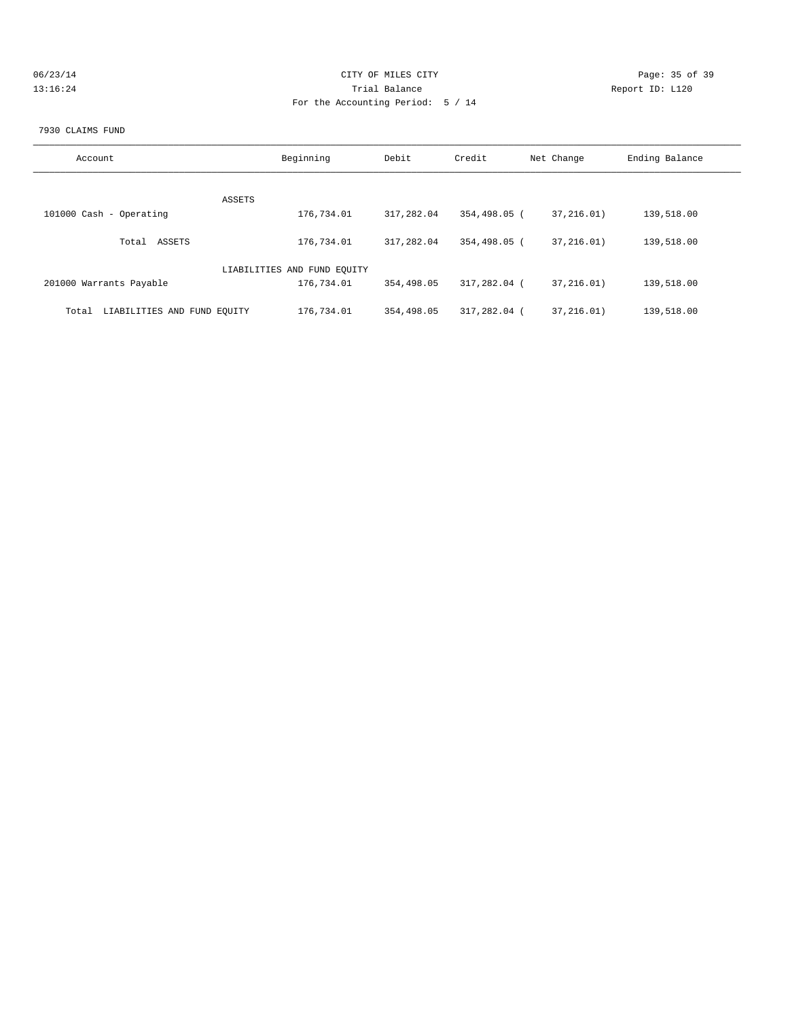| 06/23/14 | CITY OF MILES CITY                | Page: 35 of 39  |
|----------|-----------------------------------|-----------------|
| 13:16:24 | Trial Balance                     | Report ID: L120 |
|          | For the Accounting Period: 5 / 14 |                 |
|          |                                   |                 |

#### 7930 CLAIMS FUND

| Account                              | Beginning                   | Debit      | Credit       | Net Change   | Ending Balance |
|--------------------------------------|-----------------------------|------------|--------------|--------------|----------------|
| ASSETS                               |                             |            |              |              |                |
| 101000 Cash - Operating              | 176,734.01                  | 317,282.04 | 354,498.05 ( | 37, 216.01)  | 139,518.00     |
| ASSETS<br>Total                      | 176,734.01                  | 317,282.04 | 354,498.05 ( | 37,216,01)   | 139,518.00     |
|                                      | LIABILITIES AND FUND EQUITY |            |              |              |                |
| 201000 Warrants Payable              | 176,734.01                  | 354,498.05 | 317,282.04 ( | 37, 216, 01) | 139,518.00     |
| LIABILITIES AND FUND EQUITY<br>Total | 176,734.01                  | 354,498.05 | 317,282.04 ( | 37,216,01)   | 139,518.00     |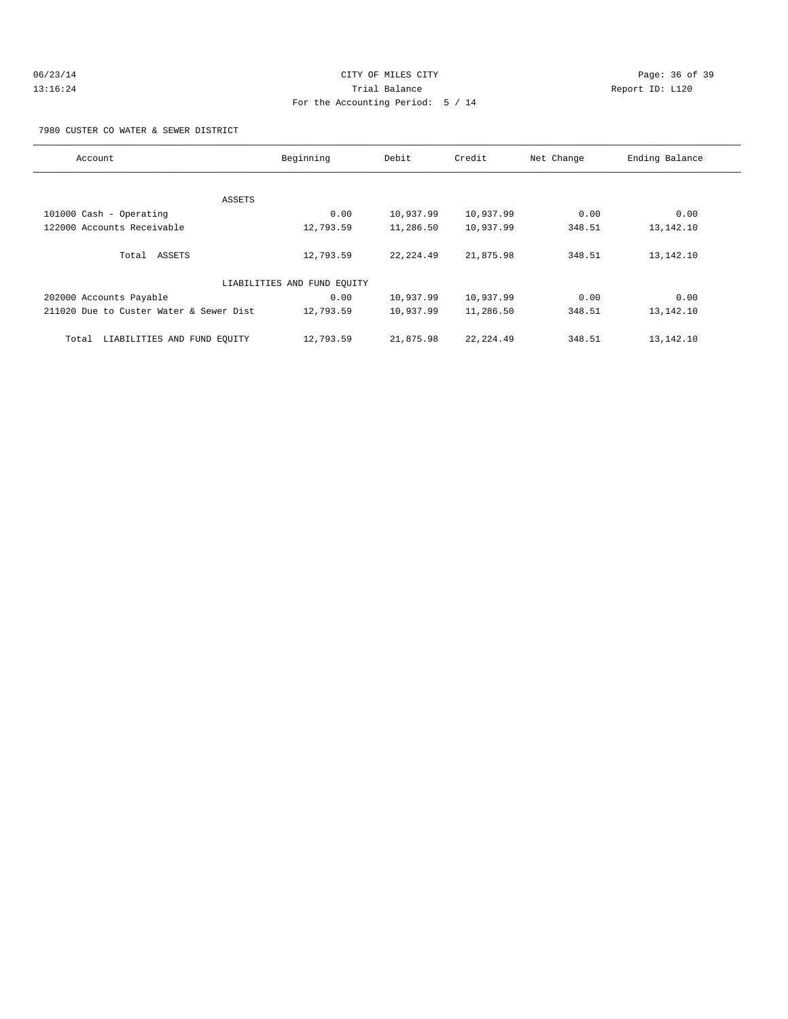### 7980 CUSTER CO WATER & SEWER DISTRICT

| Account                                 | Beginning                   | Debit      | Credit     | Net Change | Ending Balance |
|-----------------------------------------|-----------------------------|------------|------------|------------|----------------|
|                                         |                             |            |            |            |                |
| ASSETS                                  |                             |            |            |            |                |
| 101000 Cash - Operating                 | 0.00                        | 10,937.99  | 10,937.99  | 0.00       | 0.00           |
| 122000 Accounts Receivable              | 12,793.59                   | 11,286.50  | 10,937.99  | 348.51     | 13,142.10      |
| Total ASSETS                            | 12,793.59                   | 22, 224.49 | 21,875.98  | 348.51     | 13,142.10      |
|                                         |                             |            |            |            |                |
|                                         | LIABILITIES AND FUND EQUITY |            |            |            |                |
| 202000 Accounts Payable                 | 0.00                        | 10,937.99  | 10,937.99  | 0.00       | 0.00           |
| 211020 Due to Custer Water & Sewer Dist | 12,793.59                   | 10,937.99  | 11,286.50  | 348.51     | 13,142.10      |
| LIABILITIES AND FUND EQUITY<br>Total    | 12,793.59                   | 21,875.98  | 22, 224.49 | 348.51     | 13,142.10      |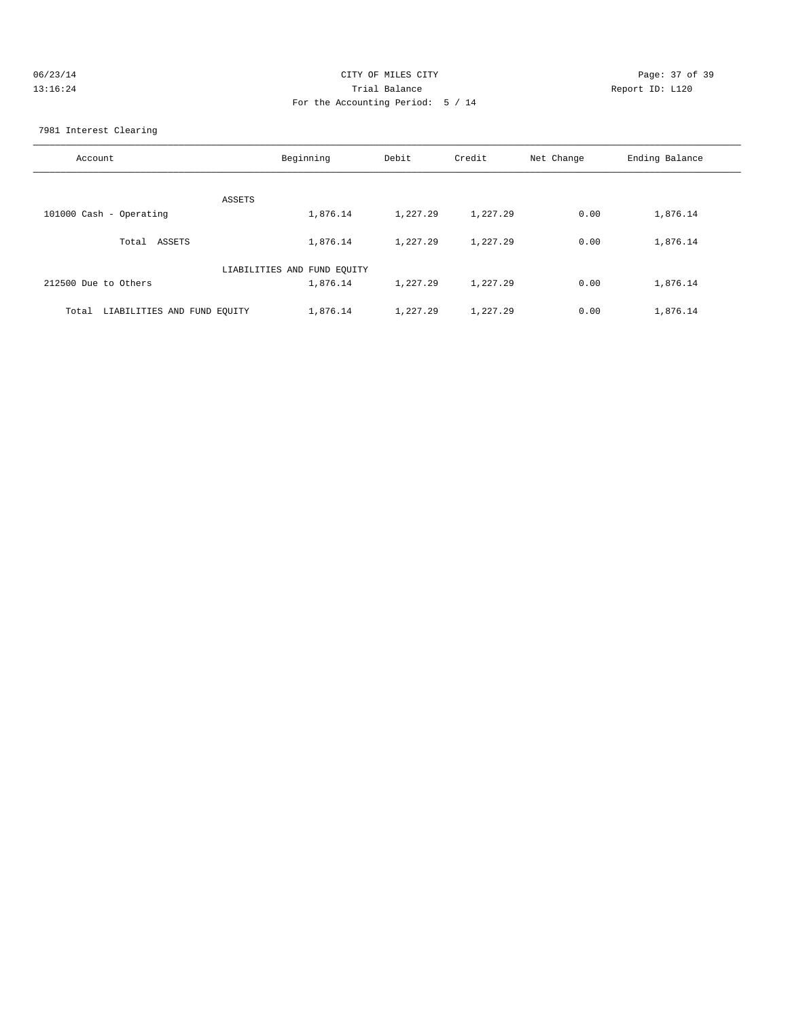| CITY OF MILES CITY                | Page: 37 of 39  |
|-----------------------------------|-----------------|
| Trial Balance                     | Report ID: L120 |
| For the Accounting Period: 5 / 14 |                 |
|                                   |                 |

### 7981 Interest Clearing

| Account                              | Beginning                   | Debit    | Credit   | Net Change | Ending Balance |
|--------------------------------------|-----------------------------|----------|----------|------------|----------------|
| ASSETS                               |                             |          |          |            |                |
| 101000 Cash - Operating              | 1,876.14                    | 1,227.29 | 1,227.29 | 0.00       | 1,876.14       |
| ASSETS<br>Total                      | 1,876.14                    | 1,227.29 | 1,227.29 | 0.00       | 1,876.14       |
|                                      | LIABILITIES AND FUND EQUITY |          |          |            |                |
| 212500 Due to Others                 | 1,876.14                    | 1,227.29 | 1,227.29 | 0.00       | 1,876.14       |
| LIABILITIES AND FUND EOUITY<br>Total | 1,876.14                    | 1,227.29 | 1,227.29 | 0.00       | 1,876.14       |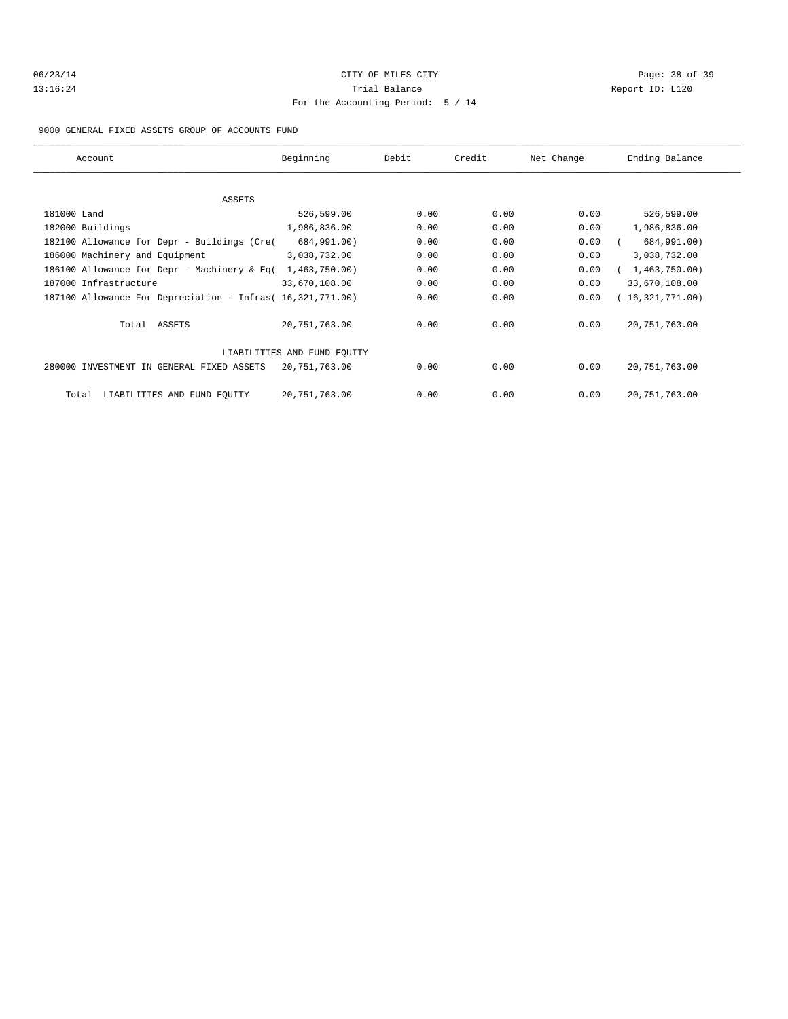| 06/23/14 |  |
|----------|--|
| 13:16:24 |  |

# CITY OF MILES CITY CONTROL CONTROL CONTROL CONTROL CITY 13:16:24 Trial Balance Report ID: L120 For the Accounting Period: 5 / 14

9000 GENERAL FIXED ASSETS GROUP OF ACCOUNTS FUND

| Account                                                    | Beginning                   | Debit | Credit | Net Change | Ending Balance  |
|------------------------------------------------------------|-----------------------------|-------|--------|------------|-----------------|
|                                                            |                             |       |        |            |                 |
| ASSETS                                                     |                             |       |        |            |                 |
| 181000 Land                                                | 526,599.00                  | 0.00  | 0.00   | 0.00       | 526,599.00      |
| 182000 Buildings                                           | 1,986,836.00                | 0.00  | 0.00   | 0.00       | 1,986,836.00    |
| 182100 Allowance for Depr - Buildings (Cre(                | 684,991.00)                 | 0.00  | 0.00   | 0.00       | 684,991.00)     |
| 186000 Machinery and Equipment                             | 3,038,732.00                | 0.00  | 0.00   | 0.00       | 3,038,732.00    |
| 186100 Allowance for Depr - Machinery & Eq(                | 1,463,750.00)               | 0.00  | 0.00   | 0.00       | 1,463,750.00    |
| 187000 Infrastructure                                      | 33,670,108.00               | 0.00  | 0.00   | 0.00       | 33,670,108.00   |
| 187100 Allowance For Depreciation - Infras( 16,321,771.00) |                             | 0.00  | 0.00   | 0.00       | 16,321,771.00   |
| Total ASSETS                                               | 20,751,763.00               | 0.00  | 0.00   | 0.00       | 20, 751, 763.00 |
|                                                            | LIABILITIES AND FUND EOUITY |       |        |            |                 |
| 280000 INVESTMENT IN GENERAL FIXED ASSETS                  | 20,751,763.00               | 0.00  | 0.00   | 0.00       | 20, 751, 763.00 |
| LIABILITIES AND FUND EQUITY<br>Total                       | 20,751,763.00               | 0.00  | 0.00   | 0.00       | 20, 751, 763.00 |